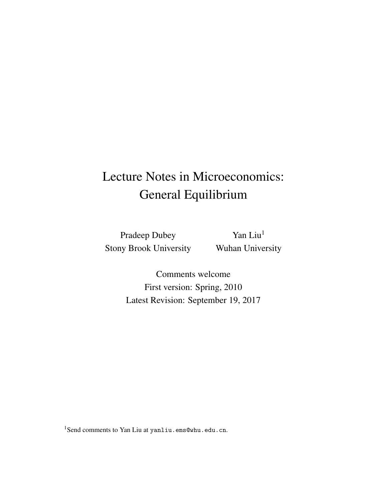## Lecture Notes in Microeconomics: General Equilibrium

Pradeep Dubey Stony Brook University

Yan Liu<sup>1</sup> Wuhan University

Comments welcome First version: Spring, 2010 Latest Revision: September 19, 2017

<sup>1</sup>Send comments to Yan Liu at yanliu.ems@whu.edu.cn.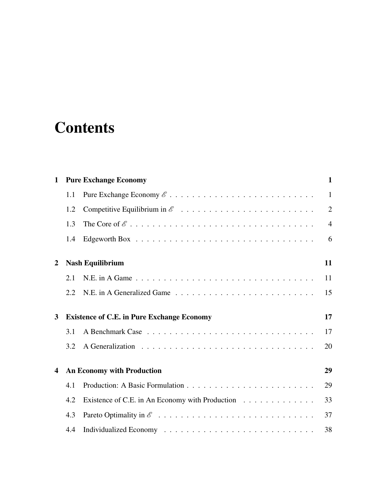# **Contents**

| 1                       |                                                   | <b>Pure Exchange Economy</b>                    | $\mathbf{1}$   |  |
|-------------------------|---------------------------------------------------|-------------------------------------------------|----------------|--|
|                         | 1.1                                               |                                                 | $\mathbf{1}$   |  |
|                         | 1.2                                               |                                                 | $\overline{2}$ |  |
|                         | 1.3                                               |                                                 | $\overline{4}$ |  |
|                         | 1.4                                               |                                                 | 6              |  |
| 2                       |                                                   | <b>Nash Equilibrium</b>                         | 11             |  |
|                         | 2.1                                               |                                                 | 11             |  |
|                         | 2.2                                               |                                                 | 15             |  |
| 3                       | <b>Existence of C.E. in Pure Exchange Economy</b> |                                                 |                |  |
|                         | 3.1                                               |                                                 | 17             |  |
|                         | 3.2                                               |                                                 | 20             |  |
| $\overline{\mathbf{4}}$ | <b>An Economy with Production</b>                 |                                                 |                |  |
|                         | 4.1                                               |                                                 | 29             |  |
|                         | 4.2                                               | Existence of C.E. in An Economy with Production | 33             |  |
|                         | 4.3                                               |                                                 | 37             |  |
|                         | 4.4                                               |                                                 | 38             |  |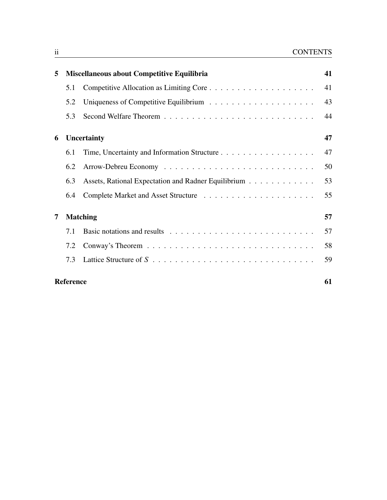| 5 |                  | Miscellaneous about Competitive Equilibria          | 41 |  |  |
|---|------------------|-----------------------------------------------------|----|--|--|
|   | 5.1              |                                                     | 41 |  |  |
|   | 5.2              |                                                     | 43 |  |  |
|   | 5.3              |                                                     | 44 |  |  |
| 6 |                  | Uncertainty                                         | 47 |  |  |
|   | 6.1              |                                                     | 47 |  |  |
|   | 6.2              |                                                     | 50 |  |  |
|   | 6.3              | Assets, Rational Expectation and Radner Equilibrium | 53 |  |  |
|   | 6.4              |                                                     | 55 |  |  |
| 7 | <b>Matching</b>  |                                                     |    |  |  |
|   | 7.1              |                                                     | 57 |  |  |
|   | 7.2              |                                                     | 58 |  |  |
|   | 7.3              |                                                     | 59 |  |  |
|   | <b>Reference</b> |                                                     |    |  |  |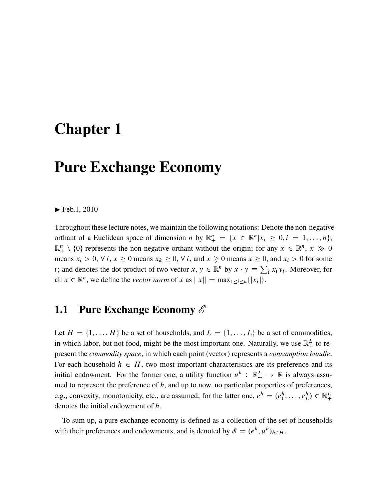### <span id="page-4-0"></span>Chapter 1

## Pure Exchange Economy

#### $\blacktriangleright$  Feb.1, 2010

Throughout these lecture notes, we maintain the following notations: Denote the non-negative orthant of a Euclidean space of dimension *n* by  $\mathbb{R}^n_+ = \{x \in \mathbb{R}^n | x_i \geq 0, i = 1, ..., n\};$  $\mathbb{R}^n_+ \setminus \{0\}$  represents the non-negative orthant without the origin; for any  $x \in \mathbb{R}^n$ ,  $x \gg 0$ means  $x_i > 0$ ,  $\forall i$ ,  $x \ge 0$  means  $x_k \ge 0$ ,  $\forall i$ , and  $x \ge 0$  means  $x \ge 0$ , and  $x_i > 0$  for some *i*; and denotes the dot product of two vector  $x, y \in \mathbb{R}^n$  by  $x \cdot y \equiv \sum_i x_i y_i$ . Moreover, for all  $x \in \mathbb{R}^n$ , we define the *vector norm* of x as  $||x|| = \max_{1 \le i \le n} \{|x_i|\}.$ 

#### <span id="page-4-1"></span>1.1 Pure Exchange Economy *E*

Let  $H = \{1, \ldots, H\}$  be a set of households, and  $L = \{1, \ldots, L\}$  be a set of commodities, in which labor, but not food, might be the most important one. Naturally, we use  $\mathbb{R}^L_+$  to represent the *commodity space*, in which each point (vector) represents a *consumption bundle*. For each household  $h \in H$ , two most important characteristics are its preference and its initial endowment. For the former one, a utility function  $u^h$ :  $\mathbb{R}^L_+ \to \mathbb{R}$  is always assumed to represent the preference of  $h$ , and up to now, no particular properties of preferences, e.g., convexity, monotonicity, etc., are assumed; for the latter one,  $e^h = (e_1^h, \dots, e_L^h) \in \mathbb{R}_+^L$  $\overline{a}$ denotes the initial endowment of h.

To sum up, a pure exchange economy is defined as a collection of the set of households with their preferences and endowments, and is denoted by  $\mathscr{E} = (e^h, u^h)_{h \in H}$ .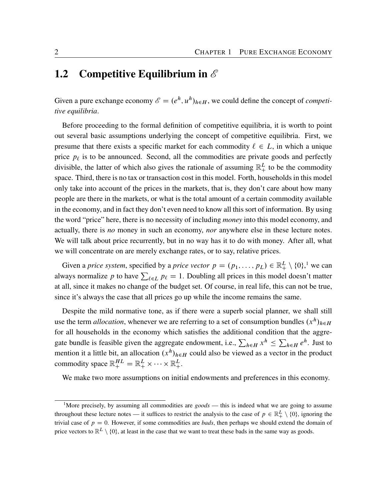#### <span id="page-5-0"></span>1.2 Competitive Equilibrium in *E*

Given a pure exchange economy  $\mathscr{E} = (e^h, u^h)_{h \in H}$ , we could define the concept of *competitive equilibria*.

Before proceeding to the formal definition of competitive equilibria, it is worth to point out several basic assumptions underlying the concept of competitive equilibria. First, we presume that there exists a specific market for each commodity  $\ell \in L$ , in which a unique price  $p_{\ell}$  is to be announced. Second, all the commodities are private goods and perfectly divisible, the latter of which also gives the rationale of assuming  $\mathbb{R}^L_+$  to be the commodity space. Third, there is no tax or transaction cost in this model. Forth, households in this model only take into account of the prices in the markets, that is, they don't care about how many people are there in the markets, or what is the total amount of a certain commodity available in the economy, and in fact they don't even need to know all this sort of information. By using the word "price" here, there is no necessity of including *money* into this model economy, and actually, there is *no* money in such an economy, *nor* anywhere else in these lecture notes. We will talk about price recurrently, but in no way has it to do with money. After all, what we will concentrate on are merely exchange rates, or to say, relative prices.

Given a *price system*, specified by a *price vector*  $p = (p_1, \ldots, p_L) \in \mathbb{R}_+^L \setminus \{0\}$  $p = (p_1, \ldots, p_L) \in \mathbb{R}_+^L \setminus \{0\}$  $p = (p_1, \ldots, p_L) \in \mathbb{R}_+^L \setminus \{0\}$ ,<sup>1</sup> we can always normalize p to have  $\sum_{\ell \in L} p_{\ell} = 1$ . Doubling all prices in this model doesn't matter at all, since it makes no change of the budget set. Of course, in real life, this can not be true, since it's always the case that all prices go up while the income remains the same.

Despite the mild normative tone, as if there were a superb social planner, we shall still use the term *allocation*, whenever we are referring to a set of consumption bundles  $(x^h)_{h \in H}$ for all households in the economy which satisfies the additional condition that the aggregate bundle is feasible given the aggregate endowment, i.e.,  $\sum_{h \in H} x^h \le \sum_{h \in H} e^h$ . Just to mention it a little bit, an allocation  $(x^h)_{h \in H}$  could also be viewed as a vector in the product commodity space  $\mathbb{R}^{HL}_+ = \mathbb{R}^L_+ \times \cdots \times \mathbb{R}^L_+$ .

We make two more assumptions on initial endowments and preferences in this economy.

<span id="page-5-1"></span><sup>&</sup>lt;sup>1</sup>More precisely, by assuming all commodities are *goods* — this is indeed what we are going to assume throughout these lecture notes — it suffices to restrict the analysis to the case of  $p \in \mathbb{R}^L_+ \setminus \{0\}$ , ignoring the trivial case of  $p = 0$ . However, if some commodities are *bads*, then perhaps we should extend the domain of price vectors to  $\mathbb{R}^L \setminus \{0\}$ , at least in the case that we want to treat these bads in the same way as goods.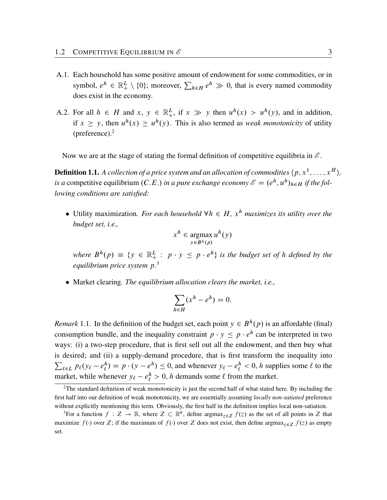- A.1. Each household has some positive amount of endowment for some commodities, or in symbol,  $e^h \in \mathbb{R}^L_+ \setminus \{0\}$ ; moreover,  $\sum_{h \in H} e^h \gg 0$ , that is every named commodity does exist in the economy.
- A.2. For all  $h \in H$  and  $x, y \in \mathbb{R}^L_+$ , if  $x \gg y$  then  $u^h(x) > u^h(y)$ , and in addition, if  $x \geq y$ , then  $u^h(x) \geq u^h(y)$ . This is also termed as *weak monotonicity* of utility (preference).[2](#page-6-0)

Now we are at the stage of stating the formal definition of competitive equilibria in  $\mathscr{E}$ .

**Definition 1.1.** A collection of a price system and an allocation of commodities  $\langle p, x^1, \ldots, x^H \rangle$ , *is a* competitive equilibrium  $(C.E.)$  *in a pure exchange economy*  $\mathscr{E} = (e^h, u^h)_{h \in H}$  *if the following conditions are satisfied:*

• Utility maximization. For each household  $\forall h \in H$ ,  $x^h$  *maximizes its utility over the budget set, i.e.,*

$$
x^h \in \operatorname*{argmax}_{y \in B^h(p)} u^h(y)
$$

where  $B^h(p) \equiv \{ y \in \mathbb{R}^L_+ : p \cdot y \leq p \cdot e^h \}$  is the budget set of h defined by the *equilibrium price system* p*.* [3](#page-6-1)

Market clearing*. The equilibrium allocation clears the market, i.e.,*

$$
\sum_{h \in H} (x^h - e^h) = 0.
$$

*Remark* 1.1. In the definition of the budget set, each point  $y \in B^h(p)$  is an affordable (final) consumption bundle, and the inequality constraint  $p \cdot y \leq p \cdot e^h$  can be interpreted in two ways: (i) a two-step procedure, that is first sell out all the endowment, and then buy what is desired; and (ii) a supply-demand procedure, that is first transform the inequality into  $\sum_{\ell \in L} p_{\ell} (y_{\ell} - e_{\ell}^h)$  $\ell(\ell) = p \cdot (y - e^h) \le 0$ , and whenever  $y_{\ell} - e^h_{\ell} < 0$ , h supplies some  $\ell$  to the market, while whenever  $y_{\ell} - e_{\ell}^{h} > 0$ , h demands some  $\ell$  from the market.

<span id="page-6-0"></span> $2$ The standard definition of weak monotonicity is just the second half of what stated here. By including the first half into our definition of weak monotonicity, we are essentially assuming *locally non-satiated* preference without explicitly mentioning this term. Obviously, the first half in the definition implies local non-satiation.

<span id="page-6-1"></span><sup>&</sup>lt;sup>3</sup>For a function  $f: Z \to \mathbb{R}$ , where  $Z \subset \mathbb{R}^n$ , define argmax<sub> $z \in Z$ </sub>  $f(z)$  as the set of all points in Z that maximize  $f(\cdot)$  over Z; if the maximum of  $f(\cdot)$  over Z does not exist, then define argmax<sub> $\tau \in \mathcal{Z}$ </sub>  $f(z)$  as empty set.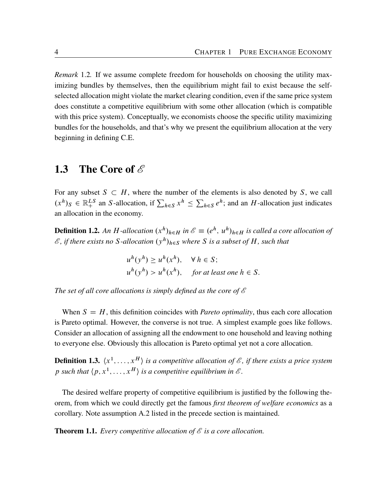*Remark* 1.2*.* If we assume complete freedom for households on choosing the utility maximizing bundles by themselves, then the equilibrium might fail to exist because the selfselected allocation might violate the market clearing condition, even if the same price system does constitute a competitive equilibrium with some other allocation (which is compatible with this price system). Conceptually, we economists choose the specific utility maximizing bundles for the households, and that's why we present the equilibrium allocation at the very beginning in defining C.E.

#### <span id="page-7-0"></span>1.3 The Core of *E*

For any subset  $S \subset H$ , where the number of the elements is also denoted by S, we call  $(x^h)_{S} \in \mathbb{R}_{+}^{LS}$  an *S*-allocation, if  $\sum_{h \in S} x^h \leq \sum_{h \in S}$  $_{h \in S} e^{h}$ ; and an H-allocation just indicates an allocation in the economy.

**Definition 1.2.** An H-allocation  $(x^h)_{h \in H}$  in  $\mathscr{E} \equiv (e^h, u^h)_{h \in H}$  is called a core allocation of  $\mathscr E$ , if there exists no S-allocation  $(y^h)_{h\in\mathcal S}$  where S is a subset of H, such that

> $u^h(y^h) \ge u^h(x^h), \quad \forall h \in S;$  $u^{h}(y^{h}) > u^{h}(x^{h}),$  for at least one  $h \in S$ .

*The set of all core allocations is simply defined as the core of E*

When  $S = H$ , this definition coincides with *Pareto optimality*, thus each core allocation is Pareto optimal. However, the converse is not true. A simplest example goes like follows. Consider an allocation of assigning all the endowment to one household and leaving nothing to everyone else. Obviously this allocation is Pareto optimal yet not a core allocation.

**Definition 1.3.**  $\langle x^1, \ldots, x^H \rangle$  is a competitive allocation of  $\mathscr E$ , if there exists a price system p such that  $\langle p, x^1, \ldots, x^H \rangle$  is a competitive equilibrium in  $\mathscr{E}$ .

The desired welfare property of competitive equilibrium is justified by the following theorem, from which we could directly get the famous *first theorem of welfare economics* as a corollary. Note assumption A.2 listed in the precede section is maintained.

<span id="page-7-1"></span>Theorem 1.1. *Every competitive allocation of E is a core allocation.*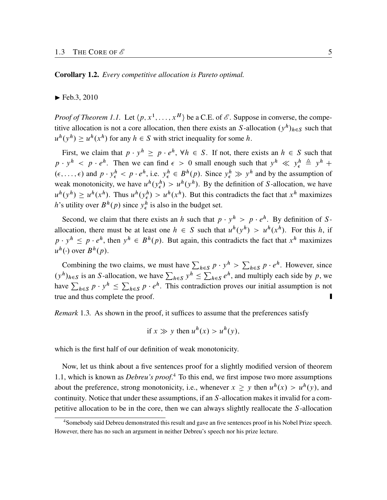Corollary 1.2. *Every competitive allocation is Pareto optimal.*

 $\blacktriangleright$  Feb.3, 2010

*Proof of Theorem [1.1](#page-7-1).* Let  $\langle p, x^1, \ldots, x^H \rangle$  be a C.E. of  $\mathcal{E}$ . Suppose in converse, the competitive allocation is not a core allocation, then there exists an S-allocation  $(y^h)_{h \in S}$  such that  $u^h(y^h) \ge u^h(x^h)$  for any  $h \in S$  with strict inequality for some h.

First, we claim that  $p \cdot y^h \geq p \cdot e^h$ ,  $\forall h \in S$ . If not, there exists an  $h \in S$  such that  $p \cdot y^h$  <  $p \cdot e^h$ . Then we can find  $\epsilon > 0$  small enough such that  $y^h \ll y^h_{\epsilon} \triangleq y^h +$  $(\epsilon, \ldots, \epsilon)$  and  $p \cdot y_{\epsilon}^h < p \cdot e^h$ , i.e.  $y_{\epsilon}^h \in B^h(p)$ . Since  $y_{\epsilon}^h \gg y^h$  and by the assumption of weak monotonicity, we have  $u^h(y^h) > u^h(y^h)$ . By the definition of S-allocation, we have  $u^h(y^h) \ge u^h(x^h)$ . Thus  $u^h(y^h_{\epsilon}) > u^h(x^h)$ . But this contradicts the fact that  $x^h$  maximizes h's utility over  $B^h(p)$  since  $y^h_{\epsilon}$  is also in the budget set.

Second, we claim that there exists an h such that  $p \cdot y^h > p \cdot e^h$ . By definition of Sallocation, there must be at least one  $h \in S$  such that  $u^h(y^h) > u^h(x^h)$ . For this h, if  $p \cdot y^h \leq p \cdot e^h$ , then  $y^h \in B^h(p)$ . But again, this contradicts the fact that  $x^h$  maximizes  $u^h(\cdot)$  over  $B^h(p)$ .

Combining the two claims, we must have  $\sum_{h \in S} p \cdot y^h > \sum_{h \in S} p \cdot e^h$ . However, since  $(y<sup>h</sup>)<sub>h \in S</sub>$  is an S-allocation, we have  $\sum_{h \in S} y<sup>h</sup> \leq \sum$  $_{h \in S} e^{h}$ , and multiply each side by p, we have  $\sum_{h \in S} p \cdot y^h \le \sum_{h \in S} p \cdot e^h$ . This contradiction proves our initial assumption is not true and thus complete the proof.

*Remark* 1.3. As shown in the proof, it suffices to assume that the preferences satisfy

if 
$$
x \gg y
$$
 then  $u^h(x) > u^h(y)$ ,

which is the first half of our definition of weak monotonicity.

Now, let us think about a five sentences proof for a slightly modified version of theorem [1.1](#page-7-1), which is known as *Debreu's proof*. [4](#page-8-0) To this end, we first impose two more assumptions about the preference, strong monotonicity, i.e., whenever  $x \geq y$  then  $u^h(x) > u^h(y)$ , and continuity. Notice that under these assumptions, if an S-allocation makes it invalid for a competitive allocation to be in the core, then we can always slightly reallocate the S-allocation

<span id="page-8-0"></span><sup>4</sup>Somebody said Debreu demonstrated this result and gave an five sentences proof in his Nobel Prize speech. However, there has no such an argument in neither Debreu's speech nor his prize lecture.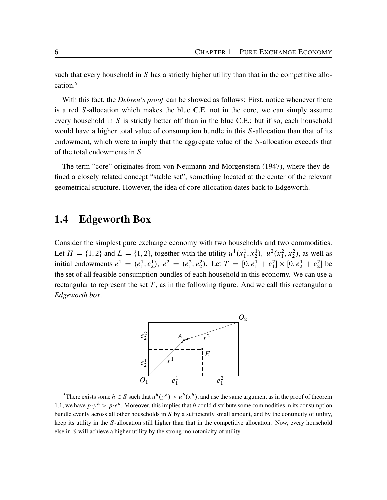<span id="page-9-2"></span>such that every household in  $S$  has a strictly higher utility than that in the competitive allocation.[5](#page-9-1)

With this fact, the *Debreu's proof* can be showed as follows: First, notice whenever there is a red S-allocation which makes the blue C.E. not in the core, we can simply assume every household in S is strictly better off than in the blue C.E.; but if so, each household would have a higher total value of consumption bundle in this S-allocation than that of its endowment, which were to imply that the aggregate value of the S-allocation exceeds that of the total endowments in S.

The term "core" originates from [von Neumann and Morgenstern](#page-64-1) ([1947\)](#page-64-1), where they defined a closely related concept "stable set", something located at the center of the relevant geometrical structure. However, the idea of core allocation dates back to Edgeworth.

#### <span id="page-9-0"></span>1.4 Edgeworth Box

Consider the simplest pure exchange economy with two households and two commodities. Let  $H = \{1, 2\}$  and  $L = \{1, 2\}$ , together with the utility  $u^1(x_1^1, x_2^1), u^2(x_1^2, x_2^2)$ , as well as initial endowments  $e^1 = (e_1^1, e_2^1), e^2 = (e_1^2, e_2^2)$ . Let  $T = [0, e_1^1 + e_1^2] \times [0, e_2^1 + e_2^2]$  be the set of all feasible consumption bundles of each household in this economy. We can use a rectangular to represent the set  $T$ , as in the following figure. And we call this rectangular a *Edgeworth box*.



<span id="page-9-1"></span><sup>&</sup>lt;sup>5</sup>There exists some  $h \in S$  such that  $u^h(y^h) > u^h(x^h)$ , and use the same argument as in the proof of theorem [1.1,](#page-7-1) we have  $p \cdot y^h > p \cdot e^h$ . Moreover, this implies that h could distribute some commodities in its consumption bundle evenly across all other households in S by a sufficiently small amount, and by the continuity of utility, keep its utility in the S-allocation still higher than that in the competitive allocation. Now, every household else in S will achieve a higher utility by the strong monotonicity of utility.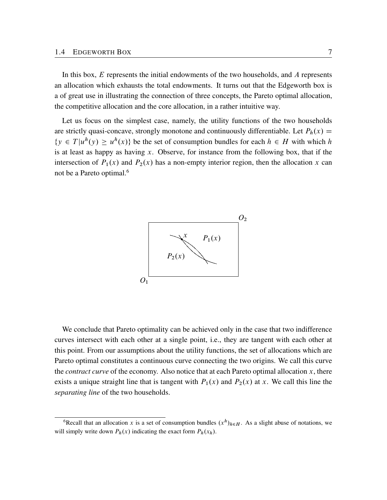In this box, E represents the initial endowments of the two households, and A represents an allocation which exhausts the total endowments. It turns out that the Edgeworth box is a of great use in illustrating the connection of three concepts, the Pareto optimal allocation, the competitive allocation and the core allocation, in a rather intuitive way.

Let us focus on the simplest case, namely, the utility functions of the two households are strictly quasi-concave, strongly monotone and continuously differentiable. Let  $P_h(x) =$  $\{y \in T | u^h(y) \geq u^h(x) \}$  be the set of consumption bundles for each  $h \in H$  with which h is at least as happy as having  $x$ . Observe, for instance from the following box, that if the intersection of  $P_1(x)$  and  $P_2(x)$  has a non-empty interior region, then the allocation x can not be a Pareto optimal.[6](#page-10-0)



We conclude that Pareto optimality can be achieved only in the case that two indifference curves intersect with each other at a single point, i.e., they are tangent with each other at this point. From our assumptions about the utility functions, the set of allocations which are Pareto optimal constitutes a continuous curve connecting the two origins. We call this curve the *contract curve* of the economy. Also notice that at each Pareto optimal allocation x, there exists a unique straight line that is tangent with  $P_1(x)$  and  $P_2(x)$  at x. We call this line the *separating line* of the two households.

<span id="page-10-0"></span><sup>&</sup>lt;sup>6</sup>Recall that an allocation x is a set of consumption bundles  $(x^h)_{h \in H}$ . As a slight abuse of notations, we will simply write down  $P_h(x)$  indicating the exact form  $P_h(x_h)$ .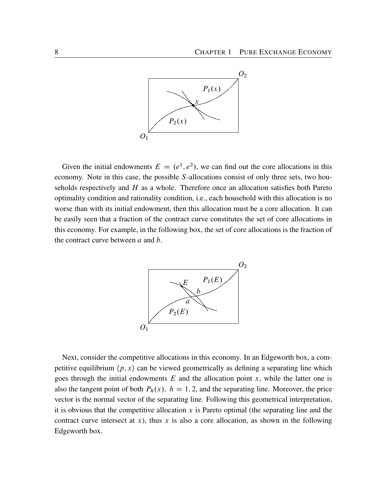

Given the initial endowments  $E = (e^1, e^2)$ , we can find out the core allocations in this economy. Note in this case, the possible S-allocations consist of only three sets, two households respectively and  $H$  as a whole. Therefore once an allocation satisfies both Pareto optimality condition and rationality condition, i.e., each household with this allocation is no worse than with its initial endowment, then this allocation must be a core allocation. It can be easily seen that a fraction of the contract curve constitutes the set of core allocations in this economy. For example, in the following box, the set of core allocations is the fraction of the contract curve between  $a$  and  $b$ .



Next, consider the competitive allocations in this economy. In an Edgeworth box, a competitive equilibrium  $\langle p, x \rangle$  can be viewed geometrically as defining a separating line which goes through the initial endowments  $E$  and the allocation point  $x$ , while the latter one is also the tangent point of both  $P_h(x)$ ,  $h = 1, 2$ , and the separating line. Moreover, the price vector is the normal vector of the separating line. Following this geometrical interpretation, it is obvious that the competitive allocation x is Pareto optimal (the separating line and the contract curve intersect at x), thus x is also a core allocation, as shown in the following Edgeworth box.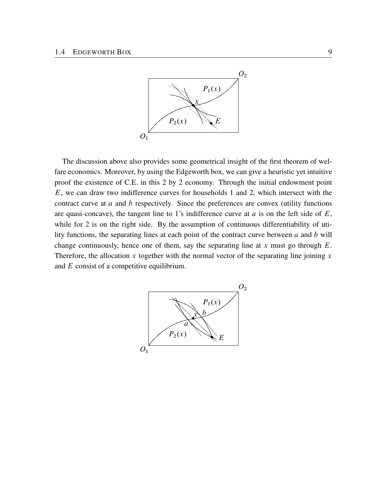

The discussion above also provides some geometrical insight of the first theorem of welfare economics. Moreover, by using the Edgeworth box, we can give a heuristic yet intuitive proof the existence of C.E. in this 2 by 2 economy. Through the initial endowment point E, we can draw two indifference curves for households 1 and 2, which intersect with the contract curve at a and b respectively. Since the preferences are convex (utility functions are quasi-concave), the tangent line to 1's indifference curve at  $a$  is on the left side of  $E$ , while for 2 is on the right side. By the assumption of continuous differentiability of utility functions, the separating lines at each point of the contract curve between  $a$  and  $b$  will change continuously, hence one of them, say the separating line at x must go through  $E$ . Therefore, the allocation x together with the normal vector of the separating line joining x and E consist of a competitive equilibrium.

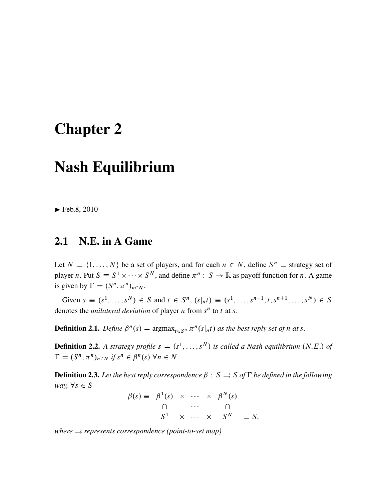## <span id="page-14-0"></span>Chapter 2

### Nash Equilibrium

 $\blacktriangleright$  Feb.8, 2010

#### <span id="page-14-1"></span>2.1 N.E. in A Game

Let  $N \equiv \{1, ..., N\}$  be a set of players, and for each  $n \in N$ , define  $S^n \equiv$  strategy set of player *n*. Put  $S \equiv S^1 \times \cdots \times S^N$ , and define  $\pi^n : S \to \mathbb{R}$  as payoff function for *n*. A game is given by  $\Gamma = (S^n, \pi^n)_{n \in N}$ .

Given  $s \equiv (s^1, ..., s^N) \in S$  and  $t \in S^n$ ,  $(s|_{n}t) \equiv (s^1, ..., s^{n-1}, t, s^{n+1}, ..., s^N) \in S$ denotes the *unilateral deviation* of player  $n$  from  $s<sup>n</sup>$  to  $t$  at  $s$ .

**Definition 2.1.** Define  $\beta^{n}(s) = \argmax_{t \in S^{n}} \pi^{n}(s|_{n}t)$  as the best reply set of n at s.

**Definition 2.2.** A strategy profile  $s = (s^1, \ldots, s^N)$  is called a Nash equilibrium (N.E.) of  $\Gamma = (S^n, \pi^n)_{n \in N}$  if  $s^n \in \beta^n(s)$   $\forall n \in N$ .

**Definition 2.3.** Let the best reply correspondence  $\beta : S \rightrightarrows S$  of  $\Gamma$  be defined in the following *way*,  $\forall s \in S$  $\sim N$ .

$$
\beta(s) \equiv \begin{array}{cccc} \beta^1(s) & \times & \cdots & \times & \beta^N(s) \\ \cap & & \cdots & & \cap \\ S^1 & \times & \cdots & \times & S^N \end{array} \equiv S,
$$

*where*  $\Rightarrow$  *represents correspondence (point-to-set map).*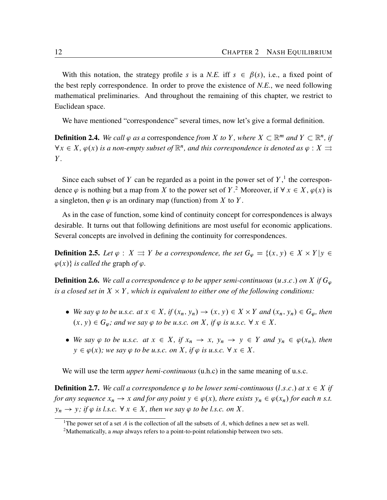With this notation, the strategy profile s is a N.E. iff  $s \in \beta(s)$ , i.e., a fixed point of the best reply correspondence. In order to prove the existence of *N.E.*, we need following mathematical preliminaries. And throughout the remaining of this chapter, we restrict to Euclidean space.

We have mentioned "correspondence" several times, now let's give a formal definition.

**Definition 2.4.** We call  $\varphi$  as a correspondence *from* X to Y, where  $X \subset \mathbb{R}^m$  and  $Y \subset \mathbb{R}^n$ , if  $\forall x \in X$ ,  $\varphi(x)$  is a non-empty subset of  $\mathbb{R}^n$ , and this correspondence is denoted as  $\varphi : X \rightrightarrows$ Y *.*

Since each subset of Y can be regarded as a point in the power set of  $Y$ , the correspondence  $\varphi$  is nothing but a map from X to the power set of Y.<sup>[2](#page-15-1)</sup> Moreover, if  $\forall x \in X, \varphi(x)$  is a singleton, then  $\varphi$  is an ordinary map (function) from X to Y.

As in the case of function, some kind of continuity concept for correspondences is always desirable. It turns out that following definitions are most useful for economic applications. Several concepts are involved in defining the continuity for correspondences.

**Definition 2.5.** Let  $\varphi$  :  $X \rightrightarrows Y$  *be a correspondence, the set*  $G_{\varphi} = \{(x, y) \in X \times Y | y \in Y\}$  $\varphi(x)$  *is called the graph of*  $\varphi$ .

**Definition 2.6.** We call a correspondence  $\varphi$  to be upper semi-continuous (u.s.c.) on X if  $G_{\varphi}$ is a closed set in  $X \times Y$ , which is equivalent to either one of the following conditions:

- We say  $\varphi$  to be u.s.c. at  $x \in X$ , if  $(x_n, y_n) \to (x, y) \in X \times Y$  and  $(x_n, y_n) \in G_{\varphi}$ , then  $(x, y) \in G_{\varphi}$ ; and we say  $\varphi$  to be u.s.c. on X, if  $\varphi$  is u.s.c.  $\forall x \in X$ .
- We say  $\varphi$  to be u.s.c. at  $x \in X$ *,* if  $x_n \to x$ *,*  $y_n \to y \in Y$  and  $y_n \in \varphi(x_n)$ *, then*  $y \in \varphi(x)$ *; we say*  $\varphi$  to be u.s.c. on X, if  $\varphi$  is u.s.c.  $\forall x \in X$ *.*

We will use the term *upper hemi-continuous* (u.h.c) in the same meaning of u.s.c.

**Definition 2.7.** We call a correspondence  $\varphi$  to be lower semi-continuous (l.s.c.) at  $x \in X$  if *for any sequence*  $x_n \to x$  *and for any point*  $y \in \varphi(x)$ *, there exists*  $y_n \in \varphi(x_n)$  *for each n s.t.*  $y_n \to y$ ; if  $\varphi$  is l.s.c.  $\forall x \in X$ *, then we say*  $\varphi$  to be l.s.c. on X.

<span id="page-15-0"></span><sup>&</sup>lt;sup>1</sup>The power set of a set A is the collection of all the subsets of A, which defines a new set as well.

<span id="page-15-1"></span><sup>&</sup>lt;sup>2</sup>Mathematically, a *map* always refers to a point-to-point relationship between two sets.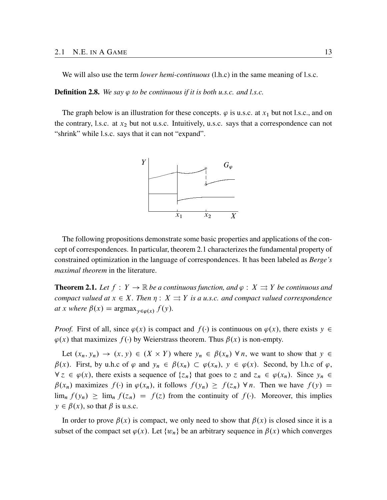We will also use the term *lower hemi-continuous* (l.h.c) in the same meaning of l.s.c.

**Definition 2.8.** We say  $\varphi$  to be continuous if it is both u.s.c. and l.s.c.

The graph below is an illustration for these concepts.  $\varphi$  is u.s.c. at  $x_1$  but not l.s.c., and on the contrary, l.s.c. at  $x_2$  but not u.s.c. Intuitively, u.s.c. says that a correspondence can not "shrink" while l.s.c. says that it can not "expand".



The following propositions demonstrate some basic properties and applications of the concept of correspondences. In particular, theorem [2.1](#page-16-0) characterizes the fundamental property of constrained optimization in the language of correspondences. It has been labeled as *Berge's maximal theorem* in the literature.

<span id="page-16-0"></span>**Theorem 2.1.** Let  $f: Y \to \mathbb{R}$  be a continuous function, and  $\varphi: X \rightrightarrows Y$  be continuous and *compact valued at*  $x \in X$ *. Then*  $\eta : X \rightrightarrows Y$  *is a u.s.c. and compact valued correspondence at* x where  $\beta(x) = \argmax_{y \in \varphi(x)} f(y)$ *.* 

*Proof.* First of all, since  $\varphi(x)$  is compact and  $f(\cdot)$  is continuous on  $\varphi(x)$ , there exists  $y \in$  $\varphi(x)$  that maximizes  $f(\cdot)$  by Weierstrass theorem. Thus  $\beta(x)$  is non-empty.

Let  $(x_n, y_n) \to (x, y) \in (X \times Y)$  where  $y_n \in \beta(x_n)$   $\forall n$ , we want to show that  $y \in$  $\beta(x)$ . First, by u.h.c of  $\varphi$  and  $y_n \in \beta(x_n) \subset \varphi(x_n)$ ,  $y \in \varphi(x)$ . Second, by l.h.c of  $\varphi$ ,  $\forall z \in \varphi(x)$ , there exists a sequence of  $\{z_n\}$  that goes to z and  $z_n \in \varphi(x_n)$ . Since  $y_n \in \varphi(x_n)$  $\beta(x_n)$  maximizes  $f(\cdot)$  in  $\varphi(x_n)$ , it follows  $f(y_n) \ge f(z_n)$   $\forall n$ . Then we have  $f(y) =$  $\lim_{n} f(y_n) \ge \lim_{n} f(z_n) = f(z)$  from the continuity of  $f(\cdot)$ . Moreover, this implies  $y \in \beta(x)$ , so that  $\beta$  is u.s.c.

In order to prove  $\beta(x)$  is compact, we only need to show that  $\beta(x)$  is closed since it is a subset of the compact set  $\varphi(x)$ . Let  $\{w_n\}$  be an arbitrary sequence in  $\beta(x)$  which converges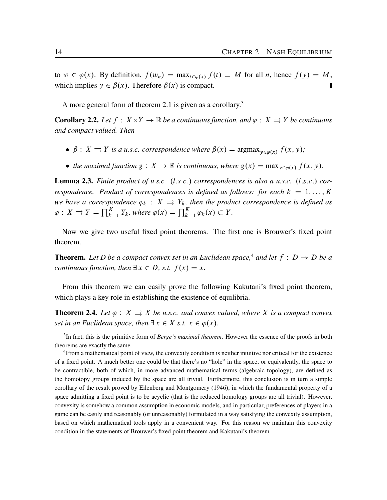<span id="page-17-4"></span>to  $w \in \varphi(x)$ . By definition,  $f(w_n) = \max_{t \in \varphi(x)} f(t) \equiv M$  for all n, hence  $f(y) = M$ , which implies  $y \in \beta(x)$ . Therefore  $\beta(x)$  is compact.

A more general form of theorem [2.1](#page-16-0) is given as a corollary.<sup>[3](#page-17-0)</sup>

**Corollary 2.2.** Let  $f : X \times Y \to \mathbb{R}$  be a continuous function, and  $\varphi : X \Rightarrow Y$  be continuous *and compact valued. Then*

- $\beta: X \rightrightarrows Y$  *is a u.s.c. correspondence where*  $\beta(x) = \argmax_{y \in \varphi(x)} f(x, y)$ ;
- the maximal function  $g: X \to \mathbb{R}$  is continuous, where  $g(x) = \max_{y \in \mathcal{Q}(x)} f(x, y)$ *.*

<span id="page-17-2"></span>**Lemma 2.3.** Finite product of u.s.c.  $(l.s.c.)$  correspondences is also a u.s.c.  $(l.s.c.)$  cor*respondence. Product of correspondences is defined as follows: for each*  $k = 1, \ldots, K$ *we have a correspondence*  $\varphi_k : X \rightrightarrows Y_k$ , then the product correspondence is defined as  $\varphi: X \rightrightarrows Y = \prod_{k=1}^K Y_k$ , where  $\varphi(x) = \prod_{k=1}^K x_k$  $_{k=1}^{\mathbf{A}} \varphi_k(x) \subset Y.$ 

Now we give two useful fixed point theorems. The first one is Brouwer's fixed point theorem.

**Theorem.** Let D be a compact convex set in an Euclidean space,<sup>[4](#page-17-1)</sup> and let  $f : D \rightarrow D$  be a *continuous function, then*  $\exists x \in D$ *, s.t.*  $f(x) = x$ *.* 

From this theorem we can easily prove the following Kakutani's fixed point theorem, which plays a key role in establishing the existence of equilibria.

<span id="page-17-3"></span>**Theorem 2.4.** Let  $\varphi : X \rightrightarrows X$  be u.s.c. and convex valued, where X is a compact convex *set in an Euclidean space, then*  $\exists x \in X$  *s.t.*  $x \in \varphi(x)$ *.* 

<span id="page-17-0"></span><sup>3</sup> In fact, this is the primitive form of *Berge's maximal theorem*. However the essence of the proofs in both theorems are exactly the same.

<span id="page-17-1"></span><sup>4</sup>From a mathematical point of view, the convexity condition is neither intuitive nor critical for the existence of a fixed point. A much better one could be that there's no "hole" in the space, or equivalently, the space to be contractible, both of which, in more advanced mathematical terms (algebraic topology), are defined as the homotopy groups induced by the space are all trivial. Furthermore, this conclusion is in turn a simple corollary of the result proved by [Eilenberg and Montgomery](#page-64-2) ([1946\)](#page-64-2), in which the fundamental property of a space admitting a fixed point is to be acyclic (that is the reduced homology groups are all trivial). However, convexity is somehow a common assumption in economic models, and in particular, preferences of players in a game can be easily and reasonably (or unreasonably) formulated in a way satisfying the convexity assumption, based on which mathematical tools apply in a convenient way. For this reason we maintain this convexity condition in the statements of Brouwer's fixed point theorem and Kakutani's theorem.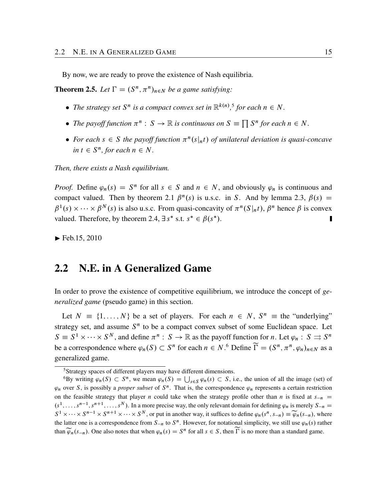By now, we are ready to prove the existence of Nash equilibria.

<span id="page-18-3"></span>**Theorem 2.5.** Let  $\Gamma = (S^n, \pi^n)_{n \in N}$  be a game satisfying:

- The strategy set  $S^n$  is a compact convex set in  $\mathbb{R}^{k(n)}$ ,<sup>[5](#page-18-1)</sup> for each  $n \in N$ .
- The payoff function  $\pi^n : S \to \mathbb{R}$  is continuous on  $S \equiv \prod S^n$  for each  $n \in N$ .
- For each  $s \in S$  the payoff function  $\pi^{n}(s|_{n}t)$  of unilateral deviation is quasi-concave  $\text{in } t \in S^n, \text{for each } n \in N.$

*Then, there exists a Nash equilibrium.*

*Proof.* Define  $\varphi_n(s) = S^n$  for all  $s \in S$  and  $n \in N$ , and obviously  $\varphi_n$  is continuous and compact valued. Then by theorem [2.1](#page-16-0)  $\beta^{n}(s)$  is u.s.c. in S. And by lemma [2.3,](#page-17-2)  $\beta(s)$  =  $\beta^1(s) \times \cdots \times \beta^N(s)$  is also u.s.c. From quasi-concavity of  $\pi^n(S|_{n}t)$ ,  $\beta^n$  hence  $\beta$  is convex valued. Therefore, by theorem [2.4,](#page-17-3)  $\exists s^*$  s.t.  $s^* \in \beta(s^*)$ .

 $\blacktriangleright$  Feb.15, 2010

#### <span id="page-18-0"></span>2.2 N.E. in A Generalized Game

In order to prove the existence of competitive equilibrium, we introduce the concept of *generalized game* (pseudo game) in this section.

Let  $N = \{1, ..., N\}$  be a set of players. For each  $n \in N$ ,  $S^n =$  the "underlying" strategy set, and assume  $S<sup>n</sup>$  to be a compact convex subset of some Euclidean space. Let  $S \equiv S^1 \times \cdots \times S^N$ , and define  $\pi^n : S \to \mathbb{R}$  as the payoff function for *n*. Let  $\varphi_n : S \rightrightarrows S^n$ be a correspondence where  $\varphi_n(S) \subset S^n$  for each  $n \in N$ .<sup>[6](#page-18-2)</sup> Define  $\widetilde{\Gamma} = (S^n, \pi^n, \varphi_n)_{n \in N}$  as a generalized game.

<span id="page-18-2"></span><span id="page-18-1"></span><sup>5</sup>Strategy spaces of different players may have different dimensions.

<sup>&</sup>lt;sup>6</sup>By writing  $\varphi_n(S) \subset S^n$ , we mean  $\varphi_n(S) = \bigcup$  $s \in S$   $\varphi_n(s) \subset S$ , i.e., the union of all the image (set) of  $\varphi_n$  over S, is possibly a *proper subset* of  $S^n$ . That is, the correspondence  $\varphi_n$  represents a certain restriction on the feasible strategy that player *n* could take when the strategy profile other than *n* is fixed at  $s_{-n}$  =  $(s<sup>1</sup>,..., s<sup>n-1</sup>, s<sup>n+1</sup>,..., s<sup>N</sup>)$ . In a more precise way, the only relevant domain for defining  $\varphi_n$  is merely  $S_{-n}$  $S^1 \times \cdots \times S^{n-1} \times S^{n+1} \times \cdots \times S^N$ , or put in another way, it suffices to define  $\varphi_n(s^n, s_{-n}) \equiv \widetilde{\varphi}_n(s_{-n})$ , where the latter one is a correspondence from  $S_{-n}$  to  $S^n$ . However, for notational simplicity, we still use  $\varphi_n(s)$  rather than  $\widetilde{\varphi}_n(s_{-n})$ . One also notes that when  $\varphi_n(s) = S^n$  for all  $s \in S$ , then  $\overline{\Gamma}$  is no more than a standard game.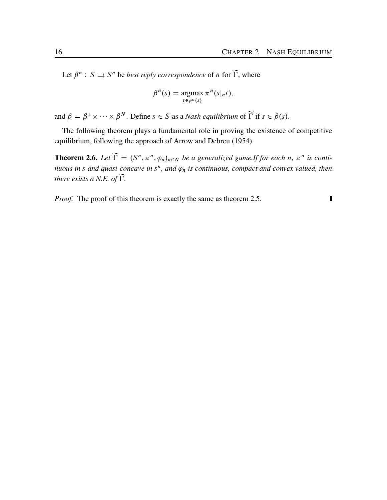<span id="page-19-1"></span>Let  $\beta^n : S \rightrightarrows S^n$  be *best reply correspondence* of *n* for  $\widetilde{\Gamma}$ , where

$$
\beta^{n}(s) = \underset{t \in \varphi^{n}(s)}{\operatorname{argmax}} \pi^{n}(s|_{n}t),
$$

and  $\beta = \beta^1 \times \cdots \times \beta^N$ . Define  $s \in S$  as a *Nash equilibrium* of  $\widetilde{\Gamma}$  if  $s \in \beta(s)$ .

The following theorem plays a fundamental role in proving the existence of competitive equilibrium, following the approach of [Arrow and Debreu](#page-64-3) [\(1954\)](#page-64-3).

<span id="page-19-0"></span>**Theorem 2.6.** Let  $\widetilde{\Gamma} = (S^n, \pi^n, \varphi_n)_{n \in N}$  be a generalized game.If for each n,  $\pi^n$  is conti*nuous in s and quasi-concave in*  $s^n$ *, and*  $\varphi_n$  *is continuous, compact and convex valued, then there exists a N.E. of*  $\widetilde{\Gamma}$ *.* 

*Proof.* The proof of this theorem is exactly the same as theorem [2.5](#page-18-3).

 $\blacksquare$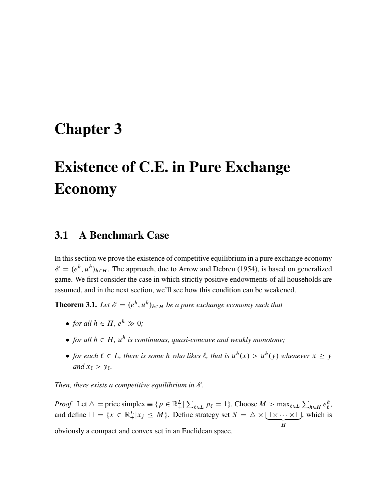## <span id="page-20-3"></span><span id="page-20-0"></span>Chapter 3

# Existence of C.E. in Pure Exchange Economy

#### <span id="page-20-1"></span>3.1 A Benchmark Case

In this section we prove the existence of competitive equilibrium in a pure exchange economy  $\mathscr{E} = (e^h, u^h)_{h \in H}$ . The approach, due to [Arrow and Debreu](#page-64-3) ([1954\)](#page-64-3), is based on generalized game. We first consider the case in which strictly positive endowments of all households are assumed, and in the next section, we'll see how this condition can be weakened.

<span id="page-20-2"></span>**Theorem 3.1.** Let  $\mathscr{E} = (e^h, u^h)_{h \in H}$  be a pure exchange economy such that

- for all  $h \in H$ ,  $e^h \gg 0$ ;
- for all  $h \in H$ ,  $u^h$  is continuous, quasi-concave and weakly monotone;
- for each  $\ell \in L$ , there is some h who likes  $\ell$ , that is  $u^h(x) > u^h(y)$  whenever  $x \ge y$ *and*  $x_{\ell} > y_{\ell}$ *.*

*Then, there exists a competitive equilibrium in E .*

*Proof.* Let  $\Delta$  = price simplex  $\equiv \{p \in \mathbb{R}^L | \sum_{\ell \in L} p_{\ell} = 1\}$ . Choose  $M > \max_{\ell \in L} \sum_{h \in H} e_{\ell}^h$  $\tilde{+}$  $_{\ell}^{\prime},$ and define  $\Box = \{x \in \mathbb{R}_+^L | x_j \leq M\}$ . Define strategy set  $S = \triangle \times \underbrace{\Box \times \cdots \times \Box}_{H}$ , which is obviously a compact and convex set in an Euclidean space.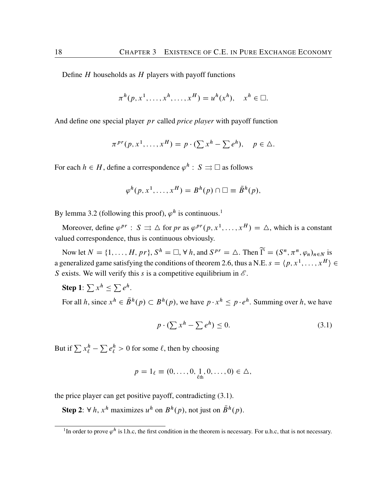Define  $H$  households as  $H$  players with payoff functions

$$
\pi^h(p, x^1, \dots, x^h, \dots, x^H) = u^h(x^h), \quad x^h \in \square.
$$

And define one special player pr called *price player* with payoff function

$$
\pi^{pr}(p, x^1, \dots, x^H) = p \cdot (\sum x^h - \sum e^h), \quad p \in \Delta.
$$

For each  $h \in H$ , define a correspondence  $\varphi^h : S \rightrightarrows \square$  as follows

$$
\varphi^h(p, x^1, \dots, x^H) = B^h(p) \cap \square \equiv \overline{B}^h(p),
$$

By lemma [3.2](#page-23-1) (following this proof),  $\varphi^h$  is continuous.<sup>[1](#page-21-0)</sup>

Moreover, define  $\varphi^{pr}$ :  $S \rightrightarrows \triangle$  for *pr* as  $\varphi^{pr}(p, x^1, \dots, x^H) = \triangle$ , which is a constant valued correspondence, thus is continuous obviously.

Now let  $N = \{1, ..., H, pr\}$ ,  $S^h = \square$ ,  $\forall h$ , and  $S^{pr} = \triangle$ . Then  $\widetilde{\Gamma} = (S^n, \pi^n, \varphi_n)_{n \in N}$  is a generalized game satisfying the conditions of theorem [2.6,](#page-19-0) thus a N.E.  $s = \langle p, x^1, \dots, x^H \rangle \in$ S exists. We will verify this s is a competitive equilibrium in  $\mathscr{E}$ .

Step 1:  $\sum x^h \leq \sum e^h$ .

For all h, since  $x^h \in \bar{B}^h(p) \subset B^h(p)$ , we have  $p \cdot x^h \le p \cdot e^h$ . Summing over h, we have

<span id="page-21-1"></span>
$$
p \cdot (\sum x^h - \sum e^h) \le 0. \tag{3.1}
$$

But if  $\sum x_{\ell}^h - \sum e_{\ell}^h > 0$  for some  $\ell$ , then by choosing

$$
p=1_{\ell}\equiv(0,\ldots,0,\underset{\ell\text{th}}{1},0,\ldots,0)\in\Delta,
$$

the price player can get positive payoff, contradicting [\(3.1](#page-21-1)).

**Step 2**:  $\forall h, x^h$  maximizes  $u^h$  on  $B^h(p)$ , not just on  $\bar{B}^h(p)$ .

<span id="page-21-0"></span><sup>&</sup>lt;sup>1</sup>In order to prove  $\varphi^h$  is l.h.c, the first condition in the theorem is necessary. For u.h.c, that is not necessary.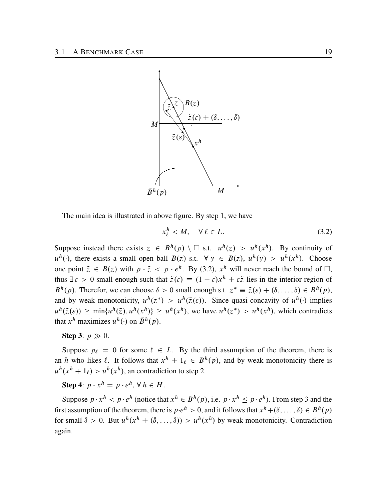

The main idea is illustrated in above figure. By step 1, we have

<span id="page-22-0"></span>
$$
x_{\ell}^{h} < M, \quad \forall \,\ell \in L. \tag{3.2}
$$

Suppose instead there exists  $z \in B^h(p) \setminus \Box$  s.t.  $u^h(z) > u^h(x^h)$ . By continuity of  $u^h(\cdot)$ , there exists a small open ball  $B(z)$  s.t.  $\forall y \in B(z)$ ,  $u^h(y) > u^h(x^h)$ . Choose one point  $\tilde{z} \in B(z)$  with  $p \cdot \tilde{z} < p \cdot e^h$ . By [\(3.2](#page-22-0)),  $x^h$  will never reach the bound of  $\Box$ , thus  $\exists \varepsilon > 0$  small enough such that  $\tilde{z}(\varepsilon) \equiv (1 - \varepsilon)x^{h} + \varepsilon \tilde{z}$  lies in the interior region of  $\bar{B}^h(p)$ . Therefor, we can choose  $\delta > 0$  small enough s.t.  $z^* \equiv \tilde{z}(\varepsilon) + (\delta, \dots, \delta) \in \bar{B}^h(p)$ , and by weak monotonicity,  $u^h(z^*) > u^h(\tilde{z}(\varepsilon))$ . Since quasi-concavity of  $u^h(\cdot)$  implies  $u^h(\tilde{z}(\varepsilon)) \ge \min\{u^h(\tilde{z}), u^h(x^h)\} \ge u^h(x^h)$ , we have  $u^h(z^*) > u^h(x^h)$ , which contradicts that  $x^h$  maximizes  $u^h(\cdot)$  on  $\bar{B}^h(p)$ .

#### Step 3:  $p \gg 0$ .

Suppose  $p_\ell = 0$  for some  $\ell \in L$ . By the third assumption of the theorem, there is an h who likes  $\ell$ . It follows that  $x^h + 1_\ell \in B^h(p)$ , and by weak monotonicity there is  $u^h(x^h + 1_\ell) > u^h(x^h)$ , an contradiction to step 2.

**Step 4**:  $p \cdot x^h = p \cdot e^h$ ,  $\forall h \in H$ .

Suppose  $p \cdot x^h < p \cdot e^h$  (notice that  $x^h \in B^h(p)$ , i.e.  $p \cdot x^h \le p \cdot e^h$ ). From step 3 and the first assumption of the theorem, there is  $p \cdot e^h > 0$ , and it follows that  $x^h + (\delta, \dots, \delta) \in B^h(p)$ for small  $\delta > 0$ . But  $u^h(x^h + (\delta, ..., \delta)) > u^h(x^h)$  by weak monotonicity. Contradiction again.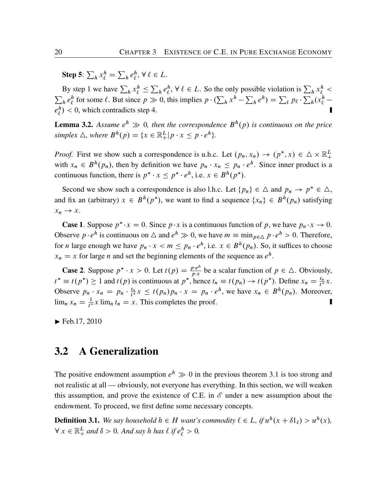Step 5:  $\sum_h x_\ell^h =$  $\sum_{h} e_{\ell}^{h}$  $_{\ell}^{h}, \forall \ell \in L.$ 

By step 1 we have  $\sum_h x_\ell^h \leq$  $\sum_{h} e_{\ell}^{h}$  $\ell^h$ ,  $\forall \ell \in L$ . So the only possible violation is  $\sum_h x_\ell^h$  <  $\sum_{h} e_{\ell}^{h}$ h for some  $\ell$ . But since  $p \gg 0$ , this implies  $p \cdot (\sum_h x^h - \sum_h e^h) = \sum_{\ell} p_{\ell} \cdot \sum_h^h (x_{\ell}^h$ e h  $\binom{h}{\ell}$  < 0, which contradicts step 4.

<span id="page-23-1"></span>**Lemma 3.2.** Assume  $e^h \gg 0$ , then the correspondence  $B^h(p)$  is continuous on the price simplex  $\triangle$ , where  $B^h(p) = \{x \in \mathbb{R}^L_+ | p \cdot x \leq p \cdot e^h\}.$ 

*Proof.* First we show such a correspondence is u.h.c. Let  $(p_n, x_n) \to (p^*, x) \in \Delta \times \mathbb{R}^L_+$ with  $x_n \in B^h(p_n)$ , then by definition we have  $p_n \cdot x_n \leq p_n \cdot e^h$ . Since inner product is a continuous function, there is  $p^* \cdot x \leq p^* \cdot e^h$ , i.e.  $x \in B^h(p^*)$ .

Second we show such a correspondence is also l.h.c. Let  $\{p_n\} \in \Delta$  and  $p_n \to p^* \in \Delta$ , and fix an (arbitrary)  $x \in B^h(p^*)$ , we want to find a sequence  $\{x_n\} \in B^h(p_n)$  satisfying  $x_n \rightarrow x$ .

**Case 1.** Suppose  $p^* \cdot x = 0$ . Since  $p \cdot x$  is a continuous function of p, we have  $p_n \cdot x \to 0$ . Observe  $p \cdot e^h$  is continuous on  $\triangle$  and  $e^h \gg 0$ , we have  $m \equiv \min_{p \in \triangle} p \cdot e^h > 0$ . Therefore, for *n* large enough we have  $p_n \cdot x < m \le p_n \cdot e^h$ , i.e.  $x \in B^h(p_n)$ . So, it suffices to choose  $x_n = x$  for large *n* and set the beginning elements of the sequence as  $e^h$ .

**Case 2.** Suppose  $p^* \cdot x > 0$ . Let  $t(p) = \frac{pe^{h}}{p \cdot x}$  $\frac{\partial^{p} e^{n}}{\partial x^{p}}$  be a scalar function of  $p \in \Delta$ . Obviously,  $t^* \equiv t(p^*) \ge 1$  and  $t(p)$  is continuous at  $p^*$ , hence  $t_n \equiv t(p_n) \rightarrow t(p^*)$ . Define  $x_n = \frac{t_n}{t^*}$  $\frac{t_n}{t^*}x.$ Observe  $p_n \cdot x_n = p_n \cdot \frac{t_n}{t^*}$  $\frac{t_n}{t^*}$  $x \le t(p_n)p_n \cdot x = p_n \cdot e^h$ , we have  $x_n \in B^h(p_n)$ . Moreover,  $\lim_{n} x_n = \frac{1}{t^*} x \lim_{n} t_n = x$ . This completes the proof.

 $\blacktriangleright$  Feb.17, 2010

#### <span id="page-23-0"></span>3.2 A Generalization

The positive endowment assumption  $e^h \gg 0$  in the previous theorem [3.1](#page-20-2) is too strong and not realistic at all — obviously, not everyone has everything. In this section, we will weaken this assumption, and prove the existence of C.E. in  $\mathscr E$  under a new assumption about the endowment. To proceed, we first define some necessary concepts.

**Definition 3.1.** We say household  $h \in H$  want's commodity  $\ell \in L$ , if  $u^h(x + \delta 1_\ell) > u^h(x)$ ,  $\forall x \in \mathbb{R}^L_+$  and  $\delta > 0$ . And say h has  $\ell$  if  $e^h_{\ell} > 0$ .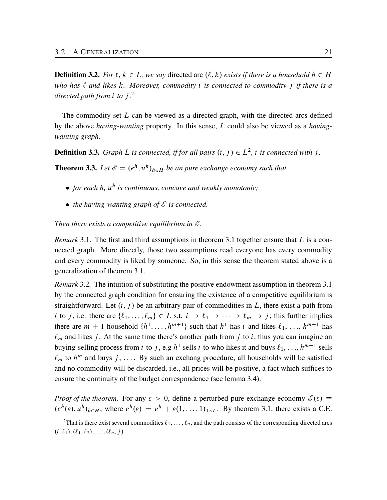**Definition 3.2.** *For*  $\ell$ ,  $k \in L$ , we say directed arc  $(\ell, k)$  exists if there is a household  $h \in H$ *who has* ` *and likes* k*. Moreover, commodity* i *is connected to commodity* j *if there is a directed path from* i *to* j *.* [2](#page-24-0)

The commodity set  $L$  can be viewed as a directed graph, with the directed arcs defined by the above *having-wanting* property. In this sense, L could also be viewed as a *havingwanting graph*.

**Definition 3.3.** *Graph L is connected, if for all pairs*  $(i, j) \in L^2$ , *i is connected with j.* 

<span id="page-24-1"></span>**Theorem 3.3.** Let  $\mathscr{E} = (e^h, u^h)_{h \in H}$  be an pure exchange economy such that

- *for each* h*,* u h *is continuous, concave and weakly monotonic;*
- *the having-wanting graph of E is connected.*

*Then there exists a competitive equilibrium in E .*

*Remark* [3.1](#page-20-2). The first and third assumptions in theorem 3.1 together ensure that L is a connected graph. More directly, those two assumptions read everyone has every commodity and every commodity is liked by someone. So, in this sense the theorem stated above is a generalization of theorem [3.1](#page-20-2).

*Remark* 3.2*.* The intuition of substituting the positive endowment assumption in theorem [3.1](#page-20-2) by the connected graph condition for ensuring the existence of a competitive equilibrium is straightforward. Let  $(i, j)$  be an arbitrary pair of commodities in L, there exist a path from *i* to *j*, i.e. there are  $\{\ell_1, \ldots, \ell_m\} \in L$  s.t.  $i \to \ell_1 \to \cdots \to \ell_m \to j$ ; this further implies there are  $m + 1$  household  $\{h^1, \ldots, h^{m+1}\}$  such that  $h^1$  has i and likes  $\ell_1, \ldots, h^{m+1}$  has  $\ell_m$  and likes j. At the same time there's another path from j to i, thus you can imagine an buying-selling process from *i* to *j*, e.g  $h^1$  sells *i* to who likes it and buys  $\ell_1, \ldots, h^{m+1}$  sells  $\ell_m$  to  $h^m$  and buys j, .... By such an exchang procedure, all households will be satisfied and no commodity will be discarded, i.e., all prices will be positive, a fact which suffices to ensure the continuity of the budget correspondence (see lemma [3.4](#page-26-0)).

*Proof of the theorem.* For any  $\varepsilon > 0$ , define a perturbed pure exchange economy  $\mathscr{E}(\varepsilon) \equiv$  $(e^h(\varepsilon), u^h)_{h \in H}$ , where  $e^h(\varepsilon) = e^h + \varepsilon(1, \dots, 1)_{1 \times L}$ . By theorem [3.1,](#page-20-2) there exists a C.E.

<span id="page-24-0"></span><sup>&</sup>lt;sup>2</sup>That is there exist several commodities  $\ell_1, \ldots, \ell_n$ , and the path consists of the corresponding directed arcs  $(i, \ell_1), (\ell_1, \ell_2), \ldots, (\ell_n, j).$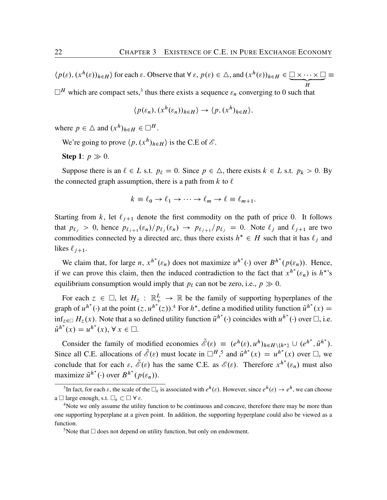$\langle p(\varepsilon), (x^h(\varepsilon))_{h \in H} \rangle$  for each  $\varepsilon$ . Observe that  $\forall \varepsilon, p(\varepsilon) \in \triangle$ , and  $(x^h(\varepsilon))_{h \in H} \in \square \times \cdots \times \square \equiv \square$ H  $\Box^H$  which are compact sets,<sup>[3](#page-25-0)</sup> thus there exists a sequence  $\varepsilon_n$  converging to 0 such that

$$
\langle p(\varepsilon_n), (x^h(\varepsilon_n))_{h \in H} \rangle \to \langle p, (x^h)_{h \in H} \rangle,
$$

where  $p \in \Delta$  and  $(x^h)_{h \in H} \in \Box^H$ .

We're going to prove  $\langle p, (x^h)_{h \in H} \rangle$  is the C.E of  $\mathcal{E}$ .

Step 1:  $p \gg 0$ .

Suppose there is an  $\ell \in L$  s.t.  $p_{\ell} = 0$ . Since  $p \in \Delta$ , there exists  $k \in L$  s.t.  $p_k > 0$ . By the connected graph assumption, there is a path from  $k$  to  $\ell$ 

$$
k \equiv \ell_0 \to \ell_1 \to \cdots \to \ell_m \to \ell \equiv \ell_{m+1}.
$$

Starting from k, let  $\ell_{j+1}$  denote the first commodity on the path of price 0. It follows that  $p_{\ell_j} > 0$ , hence  $p_{\ell_{j+1}}(\varepsilon_n) / p_{\ell_j}(\varepsilon_n) \to p_{\ell_{j+1}} / p_{\ell_j} = 0$ . Note  $\ell_j$  and  $\ell_{j+1}$  are two commodities connected by a directed arc, thus there exists  $h^* \in H$  such that it has  $\ell_j$  and likes  $\ell_{i+1}$ .

We claim that, for large *n*,  $x^{h^*}(\varepsilon_n)$  does not maximize  $u^{h^*}(\cdot)$  over  $B^{h^*}(p(\varepsilon_n))$ . Hence, if we can prove this claim, then the induced contradiction to the fact that  $x^{h^*}(\varepsilon_n)$  is  $h^{*}$ 's equilibrium consumption would imply that  $p_\ell$  can not be zero, i.e.,  $p \gg 0$ .

For each  $z \in \Box$ , let  $H_z : \mathbb{R}^L \to \mathbb{R}$  be the family of supporting hyperplanes of the graph of  $u^{h^*}(\cdot)$  at the point  $(z, u^{h^*}(z))$ .<sup>[4](#page-25-1)</sup> For  $h^*$ , define a modified utility function  $\tilde{u}^{h^*}(x) =$  $\inf_{z \in \Box} H_z(x)$ . Note that a so defined utility function  $\tilde{u}^{h^*}(\cdot)$  coincides with  $u^{h^*}(\cdot)$  over  $\Box$ , i.e.  $\tilde{u}^{h^*}(x) = u^{h^*}(x), \forall x \in \square.$ 

Consider the family of modified economies  $\tilde{\mathscr{E}}(\varepsilon) \equiv (e^h(\varepsilon), u^h)_{h \in H \setminus \{h^*\}} \cup (e^{h^*}, \tilde{u}^{h^*}).$ Since all C.E. allocations of  $\tilde{\mathscr{E}}(\varepsilon)$  must locate in  $\Box^H$ ,<sup>[5](#page-25-2)</sup> and  $\tilde{u}^{h^*}(x) = u^{h^*}(x)$  over  $\Box$ , we conclude that for each  $\varepsilon$ ,  $\tilde{\mathscr{E}}(\varepsilon)$  has the same C.E. as  $\mathscr{E}(\varepsilon)$ . Therefore  $x^{h^*}(\varepsilon_n)$  must also maximize  $\tilde{u}^{h^*}(\cdot)$  over  $B^{h^*}(p(\varepsilon_n))$ .

<span id="page-25-0"></span><sup>&</sup>lt;sup>3</sup>In fact, for each  $\varepsilon$ , the scale of the  $\Box_{\varepsilon}$  is associated with  $e^h(\varepsilon)$ . However, since  $e^h(\varepsilon) \to e^h$ , we can choose a  $\square$  large enough, s.t.  $\square_{\varepsilon} \subset \square \ \forall \varepsilon$ .

<span id="page-25-1"></span><sup>&</sup>lt;sup>4</sup>Note we only assume the utility function to be continuous and concave, therefore there may be more than one supporting hyperplane at a given point. In addition, the supporting hyperplane could also be viewed as a function.

<span id="page-25-2"></span><sup>&</sup>lt;sup>5</sup>Note that  $\Box$  does not depend on utility function, but only on endowment.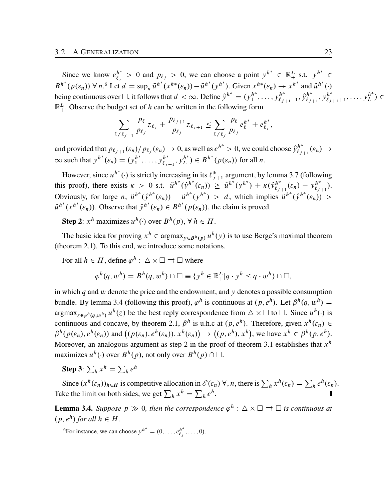Since we know  $e^{h^*}_{\ell_j} > 0$  and  $p_{\ell_j} > 0$ , we can choose a point  $y^{h^*} \in \mathbb{R}^L_+$  s.t.  $y^{h^*} \in \mathbb{R}^L$  $B^{h^*}(p(\varepsilon_n)) \forall n$ .<sup>[6](#page-26-1)</sup> Let  $d = \sup_n \tilde{u}^{h^*}(x^{h^*}(\varepsilon_n)) - \tilde{u}^{h^*}(y^{h^*})$ . Given  $x^{h^*}(\varepsilon_n) \to x^{h^*}$  and  $\tilde{u}^{h^*}(\cdot)$ being continuous over  $\Box$ , it follows that  $d < \infty$ . Define  $\hat{y}^{h^*} = (y_1^{h^*}, \dots, y_{\ell_{j+1}-1}^{h^*}, \hat{y}_{\ell_{j+1}}^{h^*}, y_{\ell_{j+1}+1}^{h^*}, \dots, y_L^{h^*}) \in$  $\mathbb{R}^L_+$ . Observe the budget set of h can be written in the following form

$$
\sum_{\ell \neq \ell_{j+1}} \frac{p_{\ell}}{p_{\ell_j}} z_{\ell_j} + \frac{p_{\ell_{j+1}}}{p_{\ell_j}} z_{\ell_{j+1}} \leq \sum_{\ell \neq \ell_j} \frac{p_{\ell}}{p_{\ell_j}} e_{\ell}^{h^*} + e_{\ell_j}^{h^*},
$$

and provided that  $p_{\ell_{j+1}}(\varepsilon_n)/p_{\ell_j}(\varepsilon_n) \to 0$ , as well as  $e^{h^*} > 0$ , we could choose  $\hat{y}_{\ell_{j+1}}^{h^*}(\varepsilon_n) \to 0$  $\infty$  such that  $y^{h^*}(\varepsilon_n) = (y_1^{h^*}, \dots, y_{\ell_{j+1}}^{h^*}, y_L^{h^*}) \in B^{h^*}(p(\varepsilon_n))$  for all *n*.

However, since  $u^{h^*}(\cdot)$  is strictly increasing in its  $\ell_{j+1}^{\text{th}}$  argument, by lemma [3.7](#page-28-0) (following this proof), there exists  $\kappa > 0$  s.t.  $\tilde{u}^{h^*}(\hat{y}^{h^*}(\varepsilon_n)) \geq \tilde{u}^{h^*}(y^{h^*}) + \kappa(\hat{y}^{h^*}_{\ell_{j+1}}(\varepsilon_n) - y^{h^*}_{\ell_{j+1}}).$ Obviously, for large  $n$ ,  $\tilde{u}^{h*}(\hat{y}^{h*}(\varepsilon_n)) - \tilde{u}^{h*}(y^{h*}) > d$ , which implies  $\tilde{u}^{h*}(\hat{y}^{h*}(\varepsilon_n)) >$  $\tilde{u}^{h^*}(x^{h^*}(\varepsilon_n))$ . Observe that  $\hat{y}^{h^*}(\varepsilon_n) \in B^{h^*}(p(\varepsilon_n))$ , the claim is proved.

**Step 2**:  $x^h$  maximizes  $u^h(\cdot)$  over  $B^h(p)$ ,  $\forall h \in H$ .

The basic idea for proving  $x^h \in \text{argmax}_{y \in B^h(p)} u^h(y)$  is to use Berge's maximal theorem (theorem [2.1](#page-16-0)). To this end, we introduce some notations.

For all  $h \in H$ , define  $\varphi^h : \Delta \times \square \rightrightarrows \square$  where

$$
\varphi^h(q, w^h) = B^h(q, w^h) \cap \square \equiv \{y^h \in \mathbb{R}^L_+ | q \cdot y^h \le q \cdot w^h\} \cap \square,
$$

in which  $q$  and  $w$  denote the price and the endowment, and  $y$  denotes a possible consumption bundle. By lemma [3.4](#page-26-0) (following this proof),  $\varphi^h$  is continuous at  $(p, e^h)$ . Let  $\beta^h(q, w^h) =$  $\argmax_{z \in \varphi^h(q, w^h)} u^h(z)$  be the best reply correspondence from  $\Delta \times \square$  to  $\square$ . Since  $u^h(\cdot)$  is continuous and concave, by theorem [2.1,](#page-16-0)  $\beta^h$  is u.h.c at  $(p, e^h)$ . Therefore, given  $x^h(\varepsilon_n) \in$  $\beta^h(p(\varepsilon_n), e^h(\varepsilon_n))$  and  $((p(\varepsilon_n), e^h(\varepsilon_n)), x^h(\varepsilon_n))$  $\rightarrow$  $((p, e^h), x^h)$ , we have  $x^h \in \beta^h(p, e^h)$ . Moreover, an analogous argument as step 2 in the proof of theorem [3.1](#page-20-2) establishes that  $x^h$ maximizes  $u^h(\cdot)$  over  $B^h(p)$ , not only over  $B^h(p) \cap \Box$ .

Step 3:  $\sum_h x^h = \sum_h e^h$ 

Since  $(x^h(\varepsilon_n))_{h \in H}$  is competitive allocation in  $\mathscr{E}(\varepsilon_n) \forall n$ , there is  $\sum_h x^h(\varepsilon_n) = \sum_h e^h(\varepsilon_n)$ . Take the limit on both sides, we get  $\sum_h x^h = \sum_h e^h$ .

<span id="page-26-0"></span>**Lemma 3.4.** Suppose  $p \gg 0$ , then the correspondence  $\varphi^h : \Delta \times \square \rightrightarrows \square$  is continuous at  $(p, e^h)$  for all  $h \in H$ .

<span id="page-26-1"></span><sup>&</sup>lt;sup>6</sup>For instance, we can choose  $y^{h^*} = (0, \ldots, e^{h^*}_{\ell_j}, \ldots, 0)$ .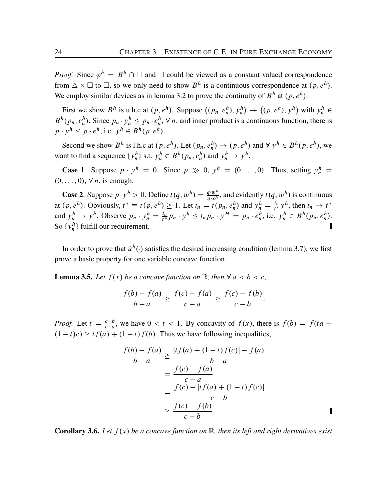*Proof.* Since  $\varphi^h = B^h \cap \Box$  and  $\Box$  could be viewed as a constant valued correspondence from  $\Delta \times \square$  to  $\square$ , so we only need to show  $B^h$  is a continuous correspondence at  $(p, e^h)$ . We employ similar devices as in lemma [3.2](#page-23-1) to prove the continuity of  $B<sup>h</sup>$  at  $(p, e<sup>h</sup>)$ .

First we show  $B^h$  is u.h.c at  $(p, e^h)$ . Suppose  $((p_n, e_n^h), y_n^h)$  $\rightarrow$  $((p, e^h), y^h)$  with  $y_n^h \in$  $B^h(p_n, e_n^h)$ . Since  $p_n \cdot y_n^h \leq p_n \cdot e_n^h$ ,  $\forall n$ , and inner product is a continuous function, there is  $p \cdot y^h \leq p \cdot e^h$ , i.e.  $y^h \in B^h(p, e^h)$ .

Second we show  $B^h$  is l.h.c at  $(p, e^h)$ . Let  $(p_n, e_n^h) \to (p, e^h)$  and  $\forall y^h \in B^h(p, e^h)$ , we want to find a sequence  $\{y_n^h\}$  s.t.  $y_n^h \in B^h(p_n, e_n^h)$  and  $y_n^h \to y^h$ .

**Case 1.** Suppose  $p \cdot y^h = 0$ . Since  $p \gg 0$ ,  $y^h = (0, \ldots, 0)$ . Thus, setting  $y^h =$  $(0, \ldots, 0), \forall n$ , is enough.

**Case 2.** Suppose  $p \cdot y^h > 0$ . Define  $t(q, w^h) = \frac{q \cdot w^h}{q \cdot x^h}$  $\frac{q \cdot w^n}{q \cdot x^n}$ , and evidently  $t(q, w^n)$  is continuous at  $(p, e^h)$ . Obviously,  $t^* \equiv t(p, e^h) \ge 1$ . Let  $t_n = t(p_n, e_n^h)$  and  $y_n^h = \frac{t_n}{t^*}$  $\frac{t_n}{t^*} y^h$ , then  $t_n \to t^*$ and  $y_n^h \to y^h$ . Observe  $p_n \cdot y_n^h = \frac{t_n}{t^*}$  $\frac{t_n}{t^*} p_n \cdot y^h \leq t_n p_n \cdot y^H = p_n \cdot e_n^h$ , i.e.  $y_n^h \in B^h(p_n, e_n^h)$ . So  $\{y_n^h\}$  fulfill our requirement. Π

In order to prove that  $\tilde{u}^h(\cdot)$  satisfies the desired increasing condition (lemma [3.7](#page-28-0)), we first prove a basic property for one variable concave function.

<span id="page-27-0"></span>**Lemma 3.5.** Let  $f(x)$  be a concave function on  $\mathbb{R}$ , then  $\forall$   $a < b < c$ ,

$$
\frac{f(b) - f(a)}{b - a} \ge \frac{f(c) - f(a)}{c - a} \ge \frac{f(c) - f(b)}{c - b}.
$$

*Proof.* Let  $t = \frac{c-b}{c-a}$ , we have  $0 < t < 1$ . By concavity of  $f(x)$ , there is  $f(b) = f(ta + b)$  $(1 - t)c$   $\geq t f(a) + (1 - t) f(b)$ . Thus we have following inequalities,

$$
\frac{f(b) - f(a)}{b - a} \ge \frac{[tf(a) + (1 - t)f(c)] - f(a)}{b - a} \\
= \frac{f(c) - f(a)}{c - a} \\
= \frac{f(c) - [tf(a) + (1 - t)f(c)]}{c - b} \\
\ge \frac{f(c) - f(b)}{c - b}.
$$

**Corollary 3.6.** Let  $f(x)$  be a concave function on  $\mathbb{R}$ , then its left and right derivatives exist

П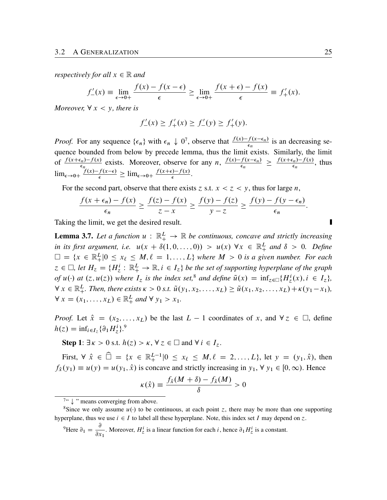*respectively for all*  $x \in \mathbb{R}$  *and* 

$$
f'_{-}(x) \equiv \lim_{\epsilon \to 0+} \frac{f(x) - f(x - \epsilon)}{\epsilon} \ge \lim_{\epsilon \to 0+} \frac{f(x + \epsilon) - f(x)}{\epsilon} \equiv f'_{+}(x).
$$

*Moreover,*  $\forall x < y$ *, there is* 

$$
f'_{-}(x) \ge f'_{+}(x) \ge f'_{-}(y) \ge f'_{+}(y).
$$

*Proof.* For any sequence  $\{\epsilon_n\}$  with  $\epsilon_n \downarrow 0^7$  $\epsilon_n \downarrow 0^7$ , observe that  $\frac{f(x)-f(x-\epsilon_n)}{\epsilon_n}$  is an decreasing sequence bounded from below by precede lemma, thus the limit exists. Similarly, the limit of  $\frac{f(x+\epsilon_n)-f(x)}{\epsilon_n}$  exists. Moreover, observe for any  $n, \frac{f(x)-f(x-\epsilon_n)}{\epsilon_n} \geq \frac{f(x+\epsilon_n)-f(x)}{\epsilon_n}$ , thus  $\epsilon_n$  $\lim_{\epsilon \to 0+} \frac{f(x)-f(x-\epsilon)}{\epsilon} \geq \lim_{\epsilon \to 0+} \frac{f(x+\epsilon)-f(x)}{\epsilon}.$ 

For the second part, observe that there exists z s.t.  $x < z < y$ , thus for large n,

$$
\frac{f(x+\epsilon_n)-f(x)}{\epsilon_n}\geq \frac{f(z)-f(x)}{z-x}\geq \frac{f(y)-f(z)}{y-z}\geq \frac{f(y)-f(y-\epsilon_n)}{\epsilon_n}.
$$

Taking the limit, we get the desired result.

<span id="page-28-0"></span>**Lemma 3.7.** Let a function  $u : \mathbb{R}^L_+ \to \mathbb{R}$  be continuous, concave and strictly increasing in its first argument, i.e.  $u(x + \delta(1,0,\ldots,0)) > u(x) \,\forall x \in \mathbb{R}^L_+$  and  $\delta > 0$ . Define  $\Box = \{x \in \mathbb{R}^L_+ | 0 \le x_\ell \le M, \ell = 1, \ldots, L\}$  where  $M > 0$  is a given number. For each  $z \in \Box$ , let  $H_z = \{H_z^i : \mathbb{R}_+^L \to \mathbb{R}, i \in I_z\}$  be the set of supporting hyperplane of the graph *of*  $u(\cdot)$  at  $(z, u(z))$  where  $I_z$  is the index set,<sup>[8](#page-28-2)</sup> and define  $\tilde{u}(x) = \inf_{z \in \Box} \{ H_z^i(x), i \in I_z \}$ ,  $\forall x \in \mathbb{R}^L_+$ . Then, there exists  $\kappa > 0$  s.t.  $\tilde{u}(y_1, x_2, \ldots, x_L) \geq \tilde{u}(x_1, x_2, \ldots, x_L) + \kappa(y_1 - x_1)$ ,  $\forall x = (x_1, ..., x_L) \in \mathbb{R}^L_+$  and  $\forall y_1 > x_1$ .

*Proof.* Let  $\hat{x} = (x_2, \dots, x_L)$  be the last  $L - 1$  coordinates of x, and  $\forall z \in \square$ , define  $h(z) = \inf_{i \in I_z} {\{\partial_1 H_z^i\}}^9$  $h(z) = \inf_{i \in I_z} {\{\partial_1 H_z^i\}}^9$ 

**Step 1:**  $\exists \kappa > 0$  s.t.  $h(z) > \kappa$ ,  $\forall z \in \square$  and  $\forall i \in I_z$ .

First,  $\forall \hat{x} \in \widehat{\Box} = \{x \in \mathbb{R}^{L-1}_+ | 0 \le x_\ell \le M, \ell = 2, ..., L\}$ , let  $y = (y_1, \hat{x})$ , then  $f_{\hat{x}}(y_1) \equiv u(y) = u(y_1, \hat{x})$  is concave and strictly increasing in  $y_1, \forall y_1 \in [0, \infty)$ . Hence

$$
\kappa(\hat{x}) \equiv \frac{f_{\hat{x}}(M+\delta) - f_{\hat{x}}(M)}{\delta} > 0
$$

<span id="page-28-3"></span><sup>9</sup>Here  $\partial_1 = \frac{\partial}{\partial x}$  $\frac{\partial}{\partial x_1}$ . Moreover,  $H_z^i$  is a linear function for each *i*, hence  $\partial_1 H_z^i$  is a constant. Π

<span id="page-28-2"></span><span id="page-28-1"></span> $7^\circ$   $\downarrow$  " means converging from above.

<sup>&</sup>lt;sup>8</sup>Since we only assume  $u(.)$  to be continuous, at each point z, there may be more than one supporting hyperplane, thus we use  $i \in I$  to label all these hyperplane. Note, this index set I may depend on z.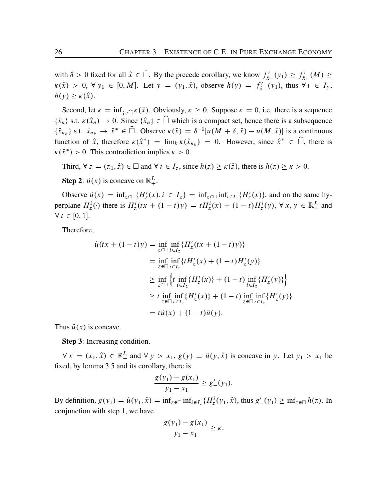with  $\delta > 0$  fixed for all  $\hat{x} \in \Box$ . By the precede corollary, we know  $f'_{\hat{x}-}(y_1) \ge f'_{\hat{x}-}(M) \ge$  $\kappa(\hat{x}) > 0, \forall y_1 \in [0, M].$  Let  $y = (y_1, \hat{x})$ , observe  $h(y) = f'_{\hat{x}+}(y_1)$ , thus  $\forall i \in I_y$ ,  $h(y) \geq \kappa(\hat{x}).$ 

Second, let  $\kappa = \inf_{\hat{x} \in \widehat{\Box}} \kappa(\hat{x})$ . Obviously,  $\kappa \ge 0$ . Suppose  $\kappa = 0$ , i.e. there is a sequence  $\{\hat{x}_n\}$  s.t.  $\kappa(\hat{x}_n) \to 0$ . Since  $\{\hat{x}_n\} \in \widehat{\Box}$  which is a compact set, hence there is a subsequence  $\{\hat{x}_{n_k}\}\$ s.t.  $\hat{x}_{n_k} \to \hat{x}^* \in \widehat{\Box}$ . Observe  $\kappa(\hat{x}) = \delta^{-1}[u(M + \delta, \hat{x}) - u(M, \hat{x})]$  is a continuous function of  $\hat{x}$ , therefore  $\kappa(\hat{x}^*) = \lim_k \kappa(\hat{x}_{n_k}) = 0$ . However, since  $\hat{x}^* \in \square$ , there is  $\kappa(\hat{x}^*) > 0$ . This contradiction implies  $\kappa > 0$ .

Third,  $\forall z = (z_1, \hat{z}) \in \Box$  and  $\forall i \in I_z$ , since  $h(z) \ge \kappa(\hat{z})$ , there is  $h(z) \ge \kappa > 0$ .

**Step 2:**  $\tilde{u}(x)$  is concave on  $\mathbb{R}^L_+$ .

Observe  $\tilde{u}(x) = \inf_{z \in \Box} \{ H_z^i(x), i \in I_z \} = \inf_{z \in \Box} \inf_{i \in I_z} \{ H_z^i(x) \}$ , and on the same hyperplane  $H_z^i(\cdot)$  there is  $H_z^i(tx + (1-t)y) = tH_z^i(x) + (1-t)H_z^i(y)$ ,  $\forall x, y \in \mathbb{R}_+^L$  and  $\forall t \in [0, 1].$ 

Therefore,

$$
\tilde{u}(tx + (1-t)y) = \inf_{z \in \Box} \inf_{i \in I_z} \{ H_z^i(tx + (1-t)y) \}
$$
\n
$$
= \inf_{z \in \Box} \inf_{i \in I_z} \{ t H_z^i(x) + (1-t) H_z^i(y) \}
$$
\n
$$
\geq \inf_{z \in \Box} \left\{ t \inf_{i \in I_z} \{ H_z^i(x) \} + (1-t) \inf_{i \in I_z} \{ H_z^i(y) \} \right\}
$$
\n
$$
\geq t \inf_{z \in \Box} \inf_{i \in I_z} \{ H_z^i(x) \} + (1-t) \inf_{z \in \Box} \inf_{i \in I_z} \{ H_z^i(y) \}
$$
\n
$$
= t\tilde{u}(x) + (1-t)\tilde{u}(y).
$$

Thus  $\tilde{u}(x)$  is concave.

Step 3: Increasing condition.

 $\forall x = (x_1, \hat{x}) \in \mathbb{R}_+^L$  and  $\forall y > x_1, g(y) \equiv \tilde{u}(y, \hat{x})$  is concave in y. Let  $y_1 > x_1$  be fixed, by lemma [3.5](#page-27-0) and its corollary, there is

$$
\frac{g(y_1)-g(x_1)}{y_1-x_1} \ge g'_{-}(y_1).
$$

By definition,  $g(y_1) = \tilde{u}(y_1, \hat{x}) = \inf_{z \in \Box} \inf_{i \in I_z} \{ H_z^i(y_1, \hat{x}), \text{thus } g'_{-}(y_1) \ge \inf_{z \in \Box} h(z). \text{ In }$ conjunction with step 1, we have

$$
\frac{g(y_1)-g(x_1)}{y_1-x_1}\geq \kappa.
$$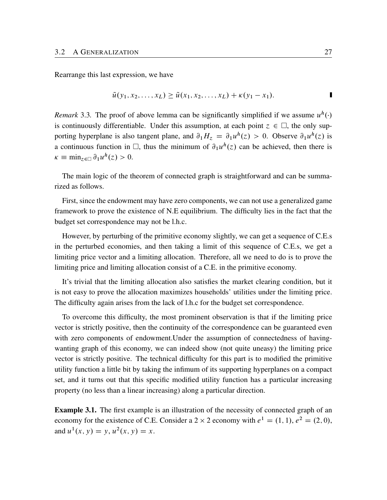Rearrange this last expression, we have

$$
\tilde{u}(y_1, x_2, \dots, x_L) \ge \tilde{u}(x_1, x_2, \dots, x_L) + \kappa(y_1 - x_1).
$$

*Remark* 3.3. The proof of above lemma can be significantly simplified if we assume  $u^h(\cdot)$ is continuously differentiable. Under this assumption, at each point  $z \in \Box$ , the only supporting hyperplane is also tangent plane, and  $\partial_1 H_z = \partial_1 u^h(z) > 0$ . Observe  $\partial_1 u^h(z)$  is a continuous function in  $\Box$ , thus the minimum of  $\partial_1 u^h(z)$  can be achieved, then there is  $\kappa \equiv \min_{z \in \Box} \partial_1 u^h(z) > 0.$ 

The main logic of the theorem of connected graph is straightforward and can be summarized as follows.

First, since the endowment may have zero components, we can not use a generalized game framework to prove the existence of N.E equilibrium. The difficulty lies in the fact that the budget set correspondence may not be l.h.c.

However, by perturbing of the primitive economy slightly, we can get a sequence of C.E.s in the perturbed economies, and then taking a limit of this sequence of C.E.s, we get a limiting price vector and a limiting allocation. Therefore, all we need to do is to prove the limiting price and limiting allocation consist of a C.E. in the primitive economy.

It's trivial that the limiting allocation also satisfies the market clearing condition, but it is not easy to prove the allocation maximizes households' utilities under the limiting price. The difficulty again arises from the lack of l.h.c for the budget set correspondence.

To overcome this difficulty, the most prominent observation is that if the limiting price vector is strictly positive, then the continuity of the correspondence can be guaranteed even with zero components of endowment.Under the assumption of connectedness of havingwanting graph of this economy, we can indeed show (not quite uneasy) the limiting price vector is strictly positive. The technical difficulty for this part is to modified the primitive utility function a little bit by taking the infimum of its supporting hyperplanes on a compact set, and it turns out that this specific modified utility function has a particular increasing property (no less than a linear increasing) along a particular direction.

Example 3.1. The first example is an illustration of the necessity of connected graph of an economy for the existence of C.E. Consider a  $2 \times 2$  economy with  $e^1 = (1, 1), e^2 = (2, 0),$ and  $u^1(x, y) = y$ ,  $u^2(x, y) = x$ .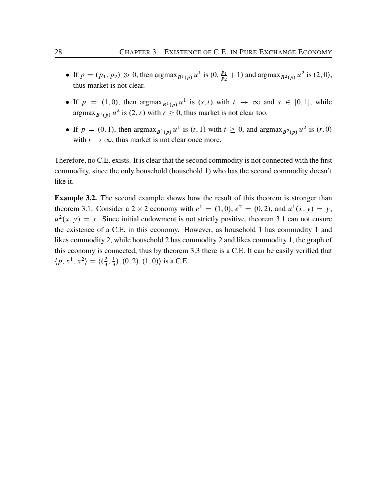- If  $p = (p_1, p_2) \gg 0$ , then  $\argmax_{B^1(p)} u^1$  is  $(0, \frac{p_1}{p_2} + 1)$  and  $\argmax_{B^2(p)} u^2$  is  $(2, 0)$ , thus market is not clear.
- If  $p = (1, 0)$ , then  $\argmax_{B^1(p)} u^1$  is  $(s, t)$  with  $t \to \infty$  and  $s \in [0, 1]$ , while argmax $_{B^2(p)} u^2$  is  $(2, r)$  with  $r \ge 0$ , thus market is not clear too.
- If  $p = (0, 1)$ , then  $\arg \max_{B^1(p)} u^1$  is  $(t, 1)$  with  $t \ge 0$ , and  $\arg \max_{B^2(p)} u^2$  is  $(r, 0)$ with  $r \to \infty$ , thus market is not clear once more.

Therefore, no C.E. exists. It is clear that the second commodity is not connected with the first commodity, since the only household (household 1) who has the second commodity doesn't like it.

Example 3.2. The second example shows how the result of this theorem is stronger than theorem [3.1](#page-20-2). Consider a 2  $\times$  2 economy with  $e^1 = (1, 0)$ ,  $e^2 = (0, 2)$ , and  $u^1(x, y) = y$ ,  $u^2(x, y) = x$ . Since initial endowment is not strictly positive, theorem [3.1](#page-20-2) can not ensure the existence of a C.E. in this economy. However, as household 1 has commodity 1 and likes commodity 2, while household 2 has commodity 2 and likes commodity 1, the graph of this economy is connected, thus by theorem [3.3](#page-24-1) there is a C.E. It can be easily verified that  $\langle p, x^1, x^2 \rangle = \langle \left(\frac{2}{3}\right) \rangle$  $\frac{2}{3}, \frac{1}{3}$  $(\frac{1}{3}), (0, 2), (1, 0)$  is a C.E.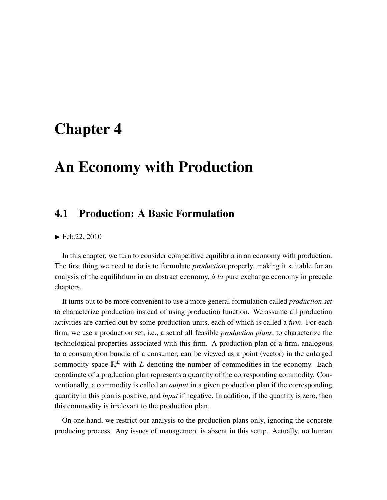### <span id="page-32-0"></span>Chapter 4

## An Economy with Production

### <span id="page-32-1"></span>4.1 Production: A Basic Formulation

 $\blacktriangleright$  Feb.22, 2010

In this chapter, we turn to consider competitive equilibria in an economy with production. The first thing we need to do is to formulate *production* properly, making it suitable for an analysis of the equilibrium in an abstract economy,  $\dot{a}$  *la* pure exchange economy in precede chapters.

It turns out to be more convenient to use a more general formulation called *production set* to characterize production instead of using production function. We assume all production activities are carried out by some production units, each of which is called a *firm*. For each firm, we use a production set, i.e., a set of all feasible *production plans*, to characterize the technological properties associated with this firm. A production plan of a firm, analogous to a consumption bundle of a consumer, can be viewed as a point (vector) in the enlarged commodity space  $\mathbb{R}^L$  with L denoting the number of commodities in the economy. Each coordinate of a production plan represents a quantity of the corresponding commodity. Conventionally, a commodity is called an *output* in a given production plan if the corresponding quantity in this plan is positive, and *input* if negative. In addition, if the quantity is zero, then this commodity is irrelevant to the production plan.

On one hand, we restrict our analysis to the production plans only, ignoring the concrete producing process. Any issues of management is absent in this setup. Actually, no human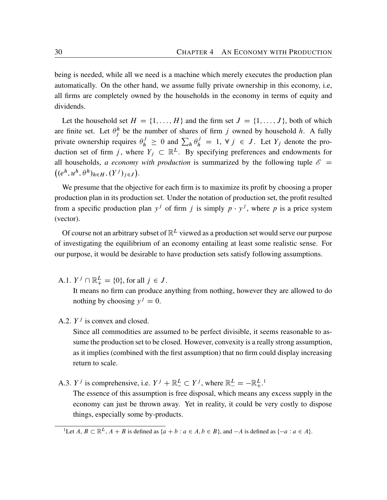being is needed, while all we need is a machine which merely executes the production plan automatically. On the other hand, we assume fully private ownership in this economy, i.e, all firms are completely owned by the households in the economy in terms of equity and dividends.

Let the household set  $H = \{1, ..., H\}$  and the firm set  $J = \{1, ..., J\}$ , both of which are finite set. Let  $\theta_j^h$  be the number of shares of firm j owned by household h. A fully private ownership requires  $\theta_h^j \geq 0$  and  $\sum_h \theta_h^j = 1$ ,  $\forall j \in J$ . Let  $Y_j$  denote the production set of firm j, where  $Y_j \subset \mathbb{R}^L$ . By specifying preferences and endowments for all households, *a economy with production* is summarized by the following tuple  $\mathscr{E}$  =  $(e^h, u^h, \theta^h)_{h \in H}, (Y^j)_{j \in J}).$ 

We presume that the objective for each firm is to maximize its profit by choosing a proper production plan in its production set. Under the notation of production set, the profit resulted from a specific production plan  $y^j$  of firm j is simply  $p \cdot y^j$ , where p is a price system (vector).

Of course not an arbitrary subset of  $\mathbb{R}^L$  viewed as a production set would serve our purpose of investigating the equilibrium of an economy entailing at least some realistic sense. For our purpose, it would be desirable to have production sets satisfy following assumptions.

A.1.  $Y^j \cap \mathbb{R}^L_+ = \{0\}$ , for all  $j \in J$ .

It means no firm can produce anything from nothing, however they are allowed to do nothing by choosing  $y^j = 0$ .

A.2.  $Y^j$  is convex and closed.

Since all commodities are assumed to be perfect divisible, it seems reasonable to assume the production set to be closed. However, convexity is a really strong assumption, as it implies (combined with the first assumption) that no firm could display increasing return to scale.

A.3.  $Y^j$  is comprehensive, i.e.  $Y^j + \mathbb{R}^L \subset Y^j$ , where  $\mathbb{R}^L = -\mathbb{R}^{L}$ .<sup>[1](#page-33-0)</sup>

The essence of this assumption is free disposal, which means any excess supply in the economy can just be thrown away. Yet in reality, it could be very costly to dispose things, especially some by-products.

<span id="page-33-0"></span><sup>&</sup>lt;sup>1</sup>Let  $A, B \subset \mathbb{R}^L$ ,  $A + B$  is defined as  $\{a + b : a \in A, b \in B\}$ , and  $-A$  is defined as  $\{-a : a \in A\}$ .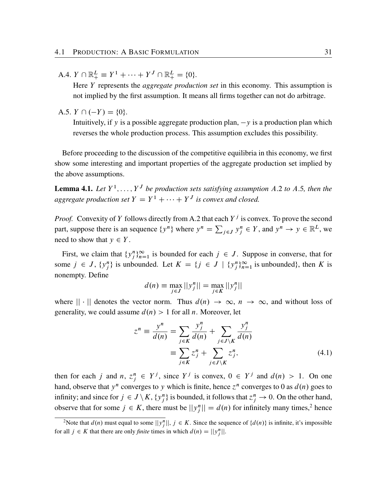A.4. 
$$
Y \cap \mathbb{R}^L_+ \equiv Y^1 + \cdots + Y^J \cap \mathbb{R}^L_+ = \{0\}.
$$

Here Y represents the *aggregate production set* in this economy. This assumption is not implied by the first assumption. It means all firms together can not do arbitrage.

A.5. 
$$
Y \cap (-Y) = \{0\}.
$$

Intuitively, if y is a possible aggregate production plan,  $-y$  is a production plan which reverses the whole production process. This assumption excludes this possibility.

Before proceeding to the discussion of the competitive equilibria in this economy, we first show some interesting and important properties of the aggregate production set implied by the above assumptions.

**Lemma 4.1.** Let  $Y^1, \ldots, Y^J$  be production sets satisfying assumption A.2 to A.5, then the *aggregate production set*  $Y = Y^1 + \cdots + Y^J$  *is convex and closed.* 

*Proof.* Convexity of Y follows directly from A.2 that each  $Y^j$  is convex. To prove the second part, suppose there is an sequence  $\{y^n\}$  where  $y^n = \sum$  $j \in J$   $\mathcal{Y}_j^n \in Y$ , and  $\mathcal{Y}^n \to \mathcal{Y} \in \mathbb{R}^L$ , we need to show that  $y \in Y$ .

First, we claim that  $\{y_j^n\}_{n=1}^{\infty}$  is bounded for each  $j \in J$ . Suppose in converse, that for some  $j \in J$ ,  $\{y_j^n\}$  is unbounded. Let  $K = \{j \in J \mid \{y_j^n\}_{n=1}^{\infty}$  is unbounded, then K is nonempty. Define

<span id="page-34-1"></span>
$$
d(n) = \max_{j \in J} ||y_j^n|| = \max_{j \in K} ||y_j^n||
$$

where  $|| \cdot ||$  denotes the vector norm. Thus  $d(n) \to \infty$ ,  $n \to \infty$ , and without loss of generality, we could assume  $d(n) > 1$  for all n. Moreover, let

$$
z^{n} \equiv \frac{y^{n}}{d(n)} = \sum_{j \in K} \frac{y_{j}^{n}}{d(n)} + \sum_{j \in J \setminus K} \frac{y_{j}^{n}}{d(n)}
$$

$$
\equiv \sum_{j \in K} z_{j}^{n} + \sum_{j \in J \setminus K} z_{j}^{n}, \tag{4.1}
$$

then for each j and  $n, z_j^n \in Y^j$ , since  $Y^j$  is convex,  $0 \in Y^j$  and  $d(n) > 1$ . On one hand, observe that  $y^n$  converges to y which is finite, hence  $z^n$  converges to 0 as  $d(n)$  goes to infinity; and since for  $j \in J \setminus K$ ,  $\{y_j^n\}$  is bounded, it follows that  $z_j^n \to 0$ . On the other hand, observe that for some  $j \in K$ , there must be  $||y_j^n|| = d(n)$  for infinitely many times,<sup>[2](#page-34-0)</sup> hence

<span id="page-34-0"></span><sup>&</sup>lt;sup>2</sup>Note that  $d(n)$  must equal to some  $||y_j^n||, j \in K$ . Since the sequence of  $\{d(n)\}\$ is infinite, it's impossible for all  $j \in K$  that there are only *finite* times in which  $d(n) = ||y_j^n||$ .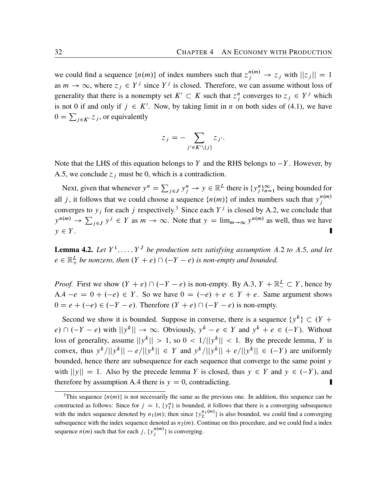we could find a sequence  $\{n(m)\}\$  of index numbers such that  $z_j^{n(m)} \to z_j$  with  $||z_j|| = 1$ as  $m \to \infty$ , where  $z_j \in Y^j$  since  $Y^j$  is closed. Therefore, we can assume without loss of generality that there is a nonempty set  $K' \subset K$  such that  $z_j^n$  converges to  $z_j \in Y^j$  which is not 0 if and only if  $j \in K'$ . Now, by taking limit in *n* on both sides of ([4.1\)](#page-34-1), we have  $0 = \sum_{j \in K'} z_j$ , or equivalently

$$
z_j = -\sum_{j' \in K' \setminus \{j\}} z_{j'}.
$$

Note that the LHS of this equation belongs to Y and the RHS belongs to  $-Y$ . However, by A.5, we conclude  $z_j$  must be 0, which is a contradiction.

Next, given that whenever  $y^n = \sum$  $j \in J$   $y_j^n \to y \in \mathbb{R}^L$  there is  $\{y_j^n\}_{n=1}^{\infty}$  being bounded for all j, it follows that we could choose a sequence  $\{n(m)\}\$  of index numbers such that  $y_j^{n(m)}$ j converges to  $y_j$  for each j respectively.<sup>[3](#page-35-0)</sup> Since each  $Y^j$  is closed by A.2, we conclude that  $y^{n(m)} \rightarrow \sum$  $j \in J$   $y^j \in Y$  as  $m \to \infty$ . Note that  $y = \lim_{m \to \infty} y^{n(m)}$  as well, thus we have  $y \in Y$ .

<span id="page-35-1"></span>**Lemma 4.2.** Let  $Y^1, \ldots, Y^J$  be production sets satisfying assumption A.2 to A.5, and let  $e \in \mathbb{R}^L_+$  be nonzero, then  $(Y + e) \cap (-Y - e)$  is non-empty and bounded.

*Proof.* First we show  $(Y + e) \cap (-Y - e)$  is non-empty. By A.3,  $Y + \mathbb{R}^L \subset Y$ , hence by A.4  $-e = 0 + (-e) \in Y$ . So we have  $0 = (-e) + e \in Y + e$ . Same argument shows  $0 = e + (-e) \in (-Y - e)$ . Therefore  $(Y + e) \cap (-Y - e)$  is non-empty.

Second we show it is bounded. Suppose in converse, there is a sequence  $\{y^k\} \subset (Y +$  $e) \cap (-Y - e)$  with  $||y^k|| \to \infty$ . Obviously,  $y^k - e \in Y$  and  $y^k + e \in (-Y)$ . Without loss of generality, assume  $||y^k|| > 1$ , so  $0 < 1/||y^k|| < 1$ . By the precede lemma, Y is convex, thus  $y^k/||y^k|| - e/||y^k|| \in Y$  and  $y^k/||y^k|| + e/||y^k|| \in (-Y)$  are uniformly bounded, hence there are subsequence for each sequence that converge to the same point y with  $||y|| = 1$ . Also by the precede lemma Y is closed, thus  $y \in Y$  and  $y \in (-Y)$ , and therefore by assumption A.4 there is  $y = 0$ , contradicting.

<span id="page-35-0"></span><sup>&</sup>lt;sup>3</sup>This sequence  $\{n(m)\}\$ is not necessarily the same as the previous one. In addition, this sequence can be constructed as follows: Since for  $j = 1$ ,  $\{y_1^n\}$  is bounded, it follows that there is a converging subsequence with the index sequence denoted by  $n_1(m)$ ; then since  $\{y_2^{n_1(m)}\}$  is also bounded, we could find a converging subsequence with the index sequence denoted as  $n_2(m)$ . Continue on this procedure, and we could find a index sequence  $n(m)$  such that for each j,  $\{y_j^{n(m)}\}$  $j^{n(m)}$ } is converging.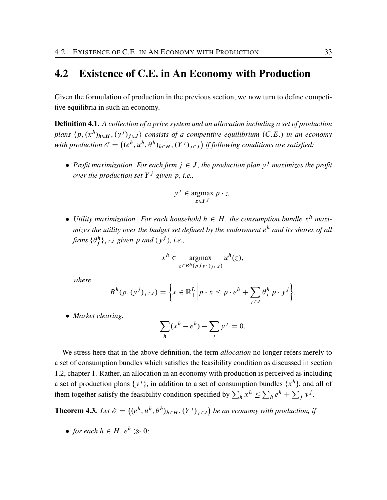#### <span id="page-36-0"></span>4.2 Existence of C.E. in An Economy with Production

Given the formulation of production in the previous section, we now turn to define competitive equilibria in such an economy.

Definition 4.1. *A collection of a price system and an allocation including a set of production* plans  $\langle p, (x^h)_{h \in H}, (y^j)_{j \in J} \rangle$  consists of a competitive equilibrium  $(C.E.)$  in an economy with production  $\mathscr{E} = ((e^h, u^h, \theta^h)_{h \in H}, (Y^j)_{j \in J})$  if following conditions are satisfied:

• Profit maximization. For each firm  $j \in J$ , the production plan  $y<sup>j</sup>$  maximizes the profit *over the production set* Y <sup>j</sup> *given* p*, i.e.,*

$$
y^j \in \operatorname*{argmax}_{z \in Y^j} p \cdot z.
$$

• Utility maximization. For each household  $h \in H$ , the consumption bundle  $x^h$  maxi*mizes the utility over the budget set defined by the endowment* e <sup>h</sup> *and its shares of all* firms  $\{\theta_j^h\}_{j\in J}$  given p and  $\{y^j\}$ , i.e.,

$$
x^h \in \underset{z \in B^h(p,(y^j)_{j \in J})}{\operatorname{argmax}} u^h(z),
$$

*where*

$$
B^{h}(p,(y^{j})_{j\in J})=\bigg\{x\in\mathbb{R}^{L}_{+}\bigg|p\cdot x\leq p\cdot e^{h}+\sum_{j\in J}\theta_{j}^{h}p\cdot y^{j}\bigg\}.
$$

*Market clearing.*

$$
\sum_{h} (x^h - e^h) - \sum_{j} y^j = 0.
$$

We stress here that in the above definition, the term *allocation* no longer refers merely to a set of consumption bundles which satisfies the feasibility condition as discussed in section 1.2, chapter 1. Rather, an allocation in an economy with production is perceived as including a set of production plans  $\{y^j\}$ , in addition to a set of consumption bundles  $\{x^h\}$ , and all of them together satisfy the feasibility condition specified by  $\sum_h x^h \le \sum_h e^h + \sum_j y^j$ .

<span id="page-36-1"></span>**Theorem 4.3.** Let  $\mathscr{E} = ((e^h, u^h, \theta^h)_{h \in H}, (Y^j)_{j \in J})$  be an economy with production, if

• for each  $h \in H$ ,  $e^{h} \gg 0$ ;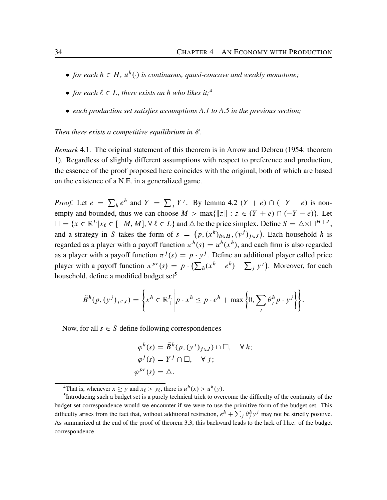- <span id="page-37-2"></span>• for each  $h \in H$ ,  $u^h(\cdot)$  is continuous, quasi-concave and weakly monotone;
- for each  $\ell \in L$ , there exists an h who likes it;<sup>[4](#page-37-0)</sup>
- *each production set satisfies assumptions A.1 to A.5 in the previous section;*

#### *Then there exists a competitive equilibrium in E .*

*Remark* 4.1*.* The original statement of this theorem is in [Arrow and Debreu](#page-64-3) [\(1954](#page-64-3): theorem 1). Regardless of slightly different assumptions with respect to preference and production, the essence of the proof proposed here coincides with the original, both of which are based on the existence of a N.E. in a generalized game.

*Proof.* Let  $e = \sum_{h} e^{h}$  and  $Y = \sum_{j} Y^{j}$ . By lemma [4.2](#page-35-1)  $(Y + e) \cap (-Y - e)$  is nonempty and bounded, thus we can choose  $M > \max\{\|z\| : z \in (Y + e) \cap (-Y - e)\}.$  Let  $\square = \{x \in \mathbb{R}^L | x_\ell \in [-M, M], \forall \ell \in L\}$  and  $\triangle$  be the price simplex. Define  $S = \triangle \times \square^{H+J}$ , and a strategy in S takes the form of  $s = (p, (x^h)_{h \in H}, (y^j)_{j \in J})$ . Each household h is regarded as a player with a payoff function  $\pi^h(s) = u^h(x^h)$ , and each firm is also regarded as a player with a payoff function  $\pi^{j}(s) = p \cdot y^{j}$ . Define an additional player called price player with a payoff function  $\pi^{pr}(s) = p \cdot (\sum_h (x^h - e^h) - \sum_j y^j)$ . Moreover, for each household, define a modified budget set<sup>[5](#page-37-1)</sup>

$$
\tilde{B}^h(p,(y^j)_{j\in J}) = \left\{ x^h \in \mathbb{R}^L_+ \middle| p \cdot x^h \leq p \cdot e^h + \max\left\{0, \sum_j \theta_j^h p \cdot y^j \right\} \right\}.
$$

Now, for all  $s \in S$  define following correspondences

$$
\varphi^h(s) = \tilde{B}^h(p, (y^j)_{j \in J}) \cap \Box, \quad \forall h; \n\varphi^j(s) = Y^j \cap \Box, \quad \forall j; \n\varphi^{pr}(s) = \triangle.
$$

<span id="page-37-1"></span><span id="page-37-0"></span><sup>4</sup>That is, whenever  $x \ge y$  and  $x_{\ell} > y_{\ell}$ , there is  $u^h(x) > u^h(y)$ .

<sup>&</sup>lt;sup>5</sup>Introducing such a budget set is a purely technical trick to overcome the difficulty of the continuity of the budget set correspondence would we encounter if we were to use the primitive form of the budget set. This difficulty arises from the fact that, without additional restriction,  $e^h + \sum_j \theta_j^h y^j$  may not be strictly positive. As summarized at the end of the proof of theorem [3.3](#page-24-1), this backward leads to the lack of l.h.c. of the budget correspondence.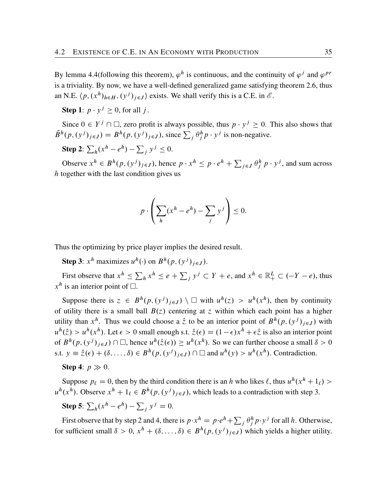By lemma [4.4\(](#page-39-0)following this theorem),  $\varphi^h$  is continuous, and the continuity of  $\varphi^j$  and  $\varphi^{pr}$ is a triviality. By now, we have a well-defined generalized game satisfying theorem [2.6,](#page-19-0) thus an N.E.  $\langle p, (x^h)_{h \in H}, (y^j)_{j \in J} \rangle$  exists. We shall verify this is a C.E. in  $\mathcal{E}$ .

**Step 1**:  $p \cdot y^j \ge 0$ , for all j.

Since  $0 \in Y^j \cap \Box$ , zero profit is always possible, thus  $p \cdot y^j \ge 0$ . This also shows that  $\tilde{B}^h(p,(y^j)_{j\in J}) = B^h(p,(y^j)_{j\in J})$ , since  $\sum_j \theta^h_j p \cdot y^j$  is non-negative.

**Step 2:**  $\sum_h (x^h - e^h) - \sum_j y^j \le 0$ .

Observe  $x^h \in B^h(p, (y^j)_{j \in J})$ , hence  $p \cdot x^h \le p \cdot e^h + \sum$  $j \in J$   $\theta_j^h p \cdot y^j$ , and sum across  $h$  together with the last condition gives us

$$
p \cdot \left( \sum_{h} (x^h - e^h) - \sum_{j} y^j \right) \leq 0.
$$

Thus the optimizing by price player implies the desired result.

**Step 3**:  $x^h$  maximizes  $u^h(\cdot)$  on  $B^h(p, (y^j)_{j \in J})$ .

First observe that  $x^h \le \sum_h x^h \le e + \sum_j y^j \subset Y + e$ , and  $x^h \in \mathbb{R}^L_+ \subset (-Y - e)$ , thus  $x^h$  is an interior point of  $\Box$ .

Suppose there is  $z \in B^h(p, (y^j)_{j \in J}) \setminus \square$  with  $u^h(z) > u^h(x^h)$ , then by continuity of utility there is a small ball  $B(z)$  centering at z within which each point has a higher utility than  $x^h$ . Thus we could choose a  $\hat{z}$  to be an interior point of  $B^h(p,(y^j)_{j\in J})$  with  $u^h(\hat{z}) > u^h(x^h)$ . Let  $\epsilon > 0$  small enough s.t.  $\hat{z}(\epsilon) = (1 - \epsilon)x^h + \epsilon \hat{z}$  is also an interior point of  $B^h(p, (y^j)_{j \in J}) \cap \Box$ , hence  $u^h(\hat{z}(\epsilon)) \ge u^h(x^h)$ . So we can further choose a small  $\delta > 0$ s.t.  $y \equiv \hat{z}(\epsilon) + (\delta, \ldots, \delta) \in B^h(p, (y^j)_{j \in J}) \cap \Box$  and  $u^h(y) > u^h(x^h)$ . Contradiction.

Step 4:  $p \gg 0$ .

Suppose  $p_\ell = 0$ , then by the third condition there is an h who likes  $\ell$ , thus  $u^h(x^h + 1_\ell)$  $u^h(x^h)$ . Observe  $x^h + 1_\ell \in B^h(p, (y^j)_{j \in J})$ , which leads to a contradiction with step 3.

**Step 5**:  $\sum_h (x^h - e^h) - \sum_j y^j = 0$ .

First observe that by step 2 and 4, there is  $p \cdot x^h = p \cdot e^h + \sum_j \theta^h_j p \cdot y^j$  for all h. Otherwise, for sufficient small  $\delta > 0$ ,  $x^h + (\delta, ..., \delta) \in B^h(p, (y^j)_{j \in J})$  which yields a higher utility.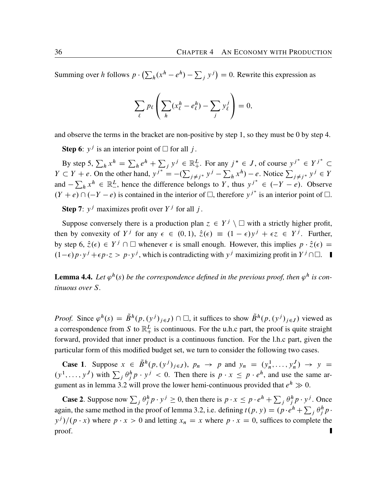Summing over h follows  $p \cdot (\sum_h (x^h - e^h) - \sum_j y^j) = 0$ . Rewrite this expression as

$$
\sum_{\ell} p_{\ell} \left( \sum_{h} (x_{\ell}^{h} - e_{\ell}^{h}) - \sum_{j} y_{\ell}^{j} \right) = 0,
$$

and observe the terms in the bracket are non-positive by step 1, so they must be 0 by step 4.

**Step 6**:  $y^j$  is an interior point of  $\Box$  for all j.

By step 5,  $\sum_h x^h = \sum_h e^h + \sum_j y^j \in \mathbb{R}^L_+$ . For any  $j^* \in J$ , of course  $y^{j^*} \in Y^{j^*} \subset$  $Y \subset Y + e$ . On the other hand,  $y^{j^*} = -(\sum$  $j \neq j^*$   $y^j - \sum_h x^h$ ) – *e*. Notice  $\sum_{j \neq j^*} y^j \in Y$ and  $-\sum_h x^h \in \mathbb{R}^L_-$ <sup>L</sup>, hence the difference belongs to Y, thus  $y^{j^*} \in (-Y - e)$ . Observe  $(Y + e) \cap (-Y - e)$  is contained in the interior of  $\Box$ , therefore  $y^{j^*}$  is an interior point of  $\Box$ .

**Step 7**:  $y^j$  maximizes profit over  $Y^j$  for all j.

Suppose conversely there is a production plan  $z \in Y^j \setminus \square$  with a strictly higher profit, then by convexity of  $Y^j$  for any  $\epsilon \in (0,1)$ ,  $\hat{z}(\epsilon) \equiv (1-\epsilon)y^j + \epsilon z \in Y^j$ . Further, by step 6,  $\hat{z}(\epsilon) \in Y^j \cap \Box$  whenever  $\epsilon$  is small enough. However, this implies  $p \cdot \hat{z}(\epsilon) =$  $(1-\epsilon)p \cdot y^j + \epsilon p \cdot z > p \cdot y^j$ , which is contradicting with  $y^j$  maximizing profit in  $Y^j \cap \Box$ .

<span id="page-39-0"></span>**Lemma 4.4.** Let  $\varphi^h(s)$  be the correspondence defined in the previous proof, then  $\varphi^h$  is con*tinuous over* S*.*

*Proof.* Since  $\varphi^h(s) = \tilde{B}^h(p, (y^j)_{j \in J}) \cap \Box$ , it suffices to show  $\tilde{B}^h(p, (y^j)_{j \in J})$  viewed as a correspondence from S to  $\mathbb{R}^L_+$  is continuous. For the u.h.c part, the proof is quite straight forward, provided that inner product is a continuous function. For the l.h.c part, given the particular form of this modified budget set, we turn to consider the following two cases.

**Case 1.** Suppose  $x \in \tilde{B}^h(p, (y^j)_{j \in J})$ ,  $p_n \to p$  and  $y_n = (y^1_n, \dots, y^J_n) \to y =$  $(y^1, \ldots, y^J)$  with  $\sum_j \theta_j^h p \cdot y^j < 0$ . Then there is  $p \cdot x \le p \cdot e^h$ , and use the same ar-gument as in lemma [3.2](#page-23-1) will prove the lower hemi-continuous provided that  $e^h \gg 0$ .

**Case 2.** Suppose now  $\sum_j \theta_j^h p \cdot y^j \ge 0$ , then there is  $p \cdot x \le p \cdot e^h + \sum_j \theta_j^h p \cdot y^j$ . Once again, the same method in the proof of lemma [3.2,](#page-23-1) i.e. defining  $t(p, y) = (p \cdot e^h + \sum_j \theta_j^h p \cdot$  $y^j$ / $(p \cdot x)$  where  $p \cdot x > 0$  and letting  $x_n = x$  where  $p \cdot x = 0$ , suffices to complete the proof.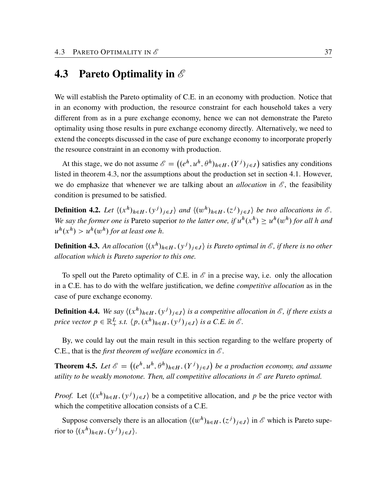### <span id="page-40-0"></span>4.3 Pareto Optimality in *E*

We will establish the Pareto optimality of C.E. in an economy with production. Notice that in an economy with production, the resource constraint for each household takes a very different from as in a pure exchange economy, hence we can not demonstrate the Pareto optimality using those results in pure exchange economy directly. Alternatively, we need to extend the concepts discussed in the case of pure exchange economy to incorporate properly the resource constraint in an economy with production.

At this stage, we do not assume  $\mathscr{E} = ((e^h, u^h, \theta^h)_{h \in H}, (Y^j)_{j \in J})$  satisfies any conditions listed in theorem [4.3](#page-36-1), nor the assumptions about the production set in section 4.1. However, we do emphasize that whenever we are talking about an *allocation* in  $\mathscr{E}$ , the feasibility condition is presumed to be satisfied.

**Definition 4.2.** Let  $\langle (x^h)_{h \in H}, (y^j)_{j \in J} \rangle$  and  $\langle (w^h)_{h \in H}, (z^j)_{j \in J} \rangle$  be two allocations in  $\mathscr{E}$ . We say the former one is Pareto superior *to the latter one, if*  $u^h(x^h) \geq u^h(w^h)$  for all h and  $u^h(x^h) > u^h(w^h)$  for at least one h.

**Definition 4.3.** An allocation  $\langle (x^h)_{h \in H}, (y^j)_{j \in J} \rangle$  is Pareto optimal in  $\mathscr{E}$ , if there is no other *allocation which is Pareto superior to this one.*

To spell out the Pareto optimality of C.E. in  $\mathscr E$  in a precise way, i.e. only the allocation in a C.E. has to do with the welfare justification, we define *competitive allocation* as in the case of pure exchange economy.

**Definition 4.4.** We say  $\langle (x^h)_{h \in H}, (y^j)_{j \in J} \rangle$  is a competitive allocation in  $\mathscr{E}$ , if there exists a *price vector*  $p \in \mathbb{R}^L_+$  *s.t.*  $\langle p, (x^h)_{h \in H}, (y^j)_{j \in J} \rangle$  is a C.E. in  $\mathcal{E}$ .

By, we could lay out the main result in this section regarding to the welfare property of C.E., that is the *first theorem of welfare economics* in *E* .

<span id="page-40-1"></span>**Theorem 4.5.** Let  $\mathscr{E} = ((e^h, u^h, \theta^h)_{h \in H}, (Y^j)_{j \in J})$  be a production economy, and assume *utility to be weakly monotone. Then, all competitive allocations in E are Pareto optimal.*

*Proof.* Let  $\langle (x^h)_{h \in H}, (y^j)_{j \in J} \rangle$  be a competitive allocation, and p be the price vector with which the competitive allocation consists of a C.E.

Suppose conversely there is an allocation  $\langle (w^h)_{h \in H}, (z^j)_{j \in J} \rangle$  in  $\mathscr E$  which is Pareto superior to  $\langle (x^h)_{h \in H}, (y^j)_{j \in J} \rangle$ .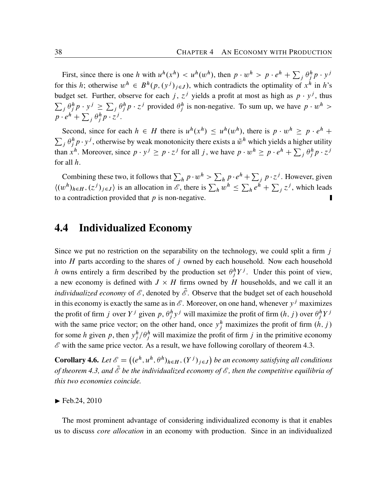First, since there is one h with  $u^h(x^h) < u^h(w^h)$ , then  $p \cdot w^h > p \cdot e^h + \sum_j \theta_j^h p \cdot y^j$ for this h; otherwise  $w^h \in B^h(p, (y^j)_{j \in J})$ , which contradicts the optimality of  $x^h$  in h's budget set. Further, observe for each j,  $z^j$  yields a profit at most as high as  $p \cdot y^j$ , thus  $\sum_j \theta_j^h p \cdot y^j \ge \sum_j \theta_j^h p \cdot z^j$  provided  $\theta_j^h$  is non-negative. To sum up, we have  $p \cdot w^h$  $p \cdot e^{h} + \sum_{j} \theta_{j}^{h} p \cdot z^{j}.$ 

Second, since for each  $h \in H$  there is  $u^h(x^h) \leq u^h(w^h)$ , there is  $p \cdot w^h \geq p \cdot e^h +$  $\sum_j \theta_j^h p \cdot y^j$ , otherwise by weak monotonicity there exists a  $\tilde{w}^h$  which yields a higher utility than  $x^h$ . Moreover, since  $p \cdot y^j \ge p \cdot z^j$  for all j, we have  $p \cdot w^h \ge p \cdot e^h + \sum_j \theta_j^h p \cdot z^j$ for all h.

Combining these two, it follows that  $\sum_h p \cdot w^h > \sum_h p \cdot e^h + \sum_j p \cdot z^j$ . However, given  $\langle (w^h)_{h \in H}, (z^j)_{j \in J} \rangle$  is an allocation in *E*, there is  $\sum_h w^h \leq \sum_h e^h + \sum_j z^j$ , which leads to a contradiction provided that  $p$  is non-negative.

#### <span id="page-41-0"></span>4.4 Individualized Economy

Since we put no restriction on the separability on the technology, we could split a firm  $j$ into  $H$  parts according to the shares of  $j$  owned by each household. Now each household h owns entirely a firm described by the production set  $\theta_j^h Y^j$ . Under this point of view, a new economy is defined with  $J \times H$  firms owned by H households, and we call it an *individualized economy* of  $\mathscr{E}$ , denoted by  $\tilde{\mathscr{E}}$ . Observe that the budget set of each household in this economy is exactly the same as in  $\mathscr E$ . Moreover, on one hand, whenever  $y^j$  maximizes the profit of firm j over  $Y^j$  given p,  $\theta^h_j y^j$  will maximize the profit of firm  $(h, j)$  over  $\theta^h_j Y^j$ with the same price vector; on the other hand, once  $y_j^h$  maximizes the profit of firm  $(h, j)$ for some h given p, then  $y_j^h / \theta_j^h$  will maximize the profit of firm j in the primitive economy  $\mathscr E$  with the same price vector. As a result, we have following corollary of theorem [4.3.](#page-36-1)

**Corollary 4.6.** Let  $\mathscr{E} = ((e^h, u^h, \theta^h)_{h \in H}, (Y^j)_{j \in J})$  be an economy satisfying all conditions *of theorem* [4.3](#page-36-1), and  $\tilde{\mathscr{E}}$  be the individualized economy of  $\mathscr{E}$ , then the competitive equilibria of *this two economies coincide.*

 $\blacktriangleright$  Feb.24, 2010

The most prominent advantage of considering individualized economy is that it enables us to discuss *core allocation* in an economy with production. Since in an individualized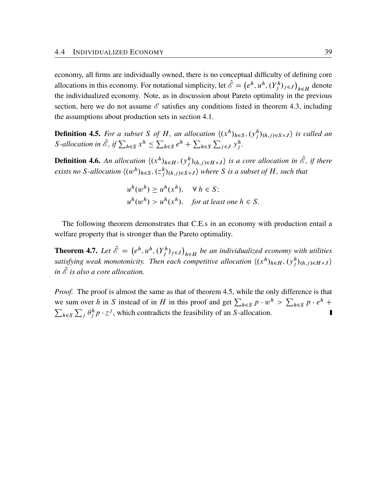economy, all firms are individually owned, there is no conceptual difficulty of defining core allocations in this economy. For notational simplicity, let  $\tilde{\mathscr{E}} = (e^h, u^h, (Y_j^h)_{j \in J})$  $h \in H$  denote the individualized economy. Note, as in discussion about Pareto optimality in the previous section, here we do not assume *E* satisfies any conditions listed in theorem [4.3](#page-36-1), including the assumptions about production sets in section 4.1.

**Definition 4.5.** For a subset S of H, an allocation  $\langle (x^h)_{h \in S}, (y^h_j)_{(h,j) \in S \times J} \rangle$  is called an *S*-allocation in  $\tilde{\mathscr{E}}$ , if  $\sum_{h \in S} x^h \leq \sum$  $_{h\in S}e^{h}+\sum$  $h \in S$  $\overline{V}$  $j \in J$   $y_j^h$ .

**Definition 4.6.** An allocation  $\langle (x^h)_{h \in H}, (y^h_j)_{(h,j) \in H \times J} \rangle$  is a core allocation in  $\tilde{\mathscr{E}}$ , if there exists no S-allocation  $\langle (w^h)_{h \in S}, (z^h_j)_{(h,j) \in S \times J} \rangle$  where S is a subset of H, such that

$$
u^{h}(w^{h}) \ge u^{h}(x^{h}), \quad \forall h \in S;
$$
  

$$
u^{h}(w^{h}) > u^{h}(x^{h}), \quad \text{for at least one } h \in S.
$$

The following theorem demonstrates that C.E.s in an economy with production entail a welfare property that is stronger than the Pareto optimality.

**Theorem 4.7.** Let  $\tilde{\mathscr{E}} = (e^h, u^h, (Y_j^h)_{j \in J})$  $h \in H$  be an individualized economy with utilities satisfying weak monotonicity. Then each competitive allocation  $\langle (x^h)_{h \in H} , (y^h_j)_{(h,j) \in H \times J} \rangle$ *in*  $\tilde{\mathscr{E}}$  *is also a core allocation.* 

*Proof.* The proof is almost the same as that of theorem [4.5,](#page-40-1) while the only difference is that we sum over h in S instead of in H in this proof and get  $\sum_{h \in S} p \cdot w^h > \sum_{h \in S} p \cdot e^h$  +  $\overline{\mathbf{y}}$  $h \in S$  $\sum_j \theta_j^h p \cdot z^j$ , which contradicts the feasibility of an S-allocation.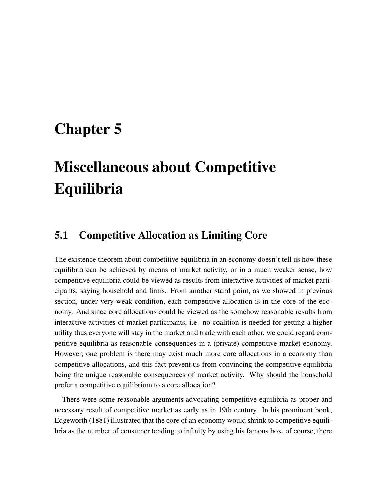## <span id="page-44-2"></span><span id="page-44-0"></span>Chapter 5

# Miscellaneous about Competitive Equilibria

#### <span id="page-44-1"></span>5.1 Competitive Allocation as Limiting Core

The existence theorem about competitive equilibria in an economy doesn't tell us how these equilibria can be achieved by means of market activity, or in a much weaker sense, how competitive equilibria could be viewed as results from interactive activities of market participants, saying household and firms. From another stand point, as we showed in previous section, under very weak condition, each competitive allocation is in the core of the economy. And since core allocations could be viewed as the somehow reasonable results from interactive activities of market participants, i.e. no coalition is needed for getting a higher utility thus everyone will stay in the market and trade with each other, we could regard competitive equilibria as reasonable consequences in a (private) competitive market economy. However, one problem is there may exist much more core allocations in a economy than competitive allocations, and this fact prevent us from convincing the competitive equilibria being the unique reasonable consequences of market activity. Why should the household prefer a competitive equilibrium to a core allocation?

There were some reasonable arguments advocating competitive equilibria as proper and necessary result of competitive market as early as in 19th century. In his prominent book, [Edgeworth](#page-64-4) ([1881\)](#page-64-4) illustrated that the core of an economy would shrink to competitive equilibria as the number of consumer tending to infinity by using his famous box, of course, there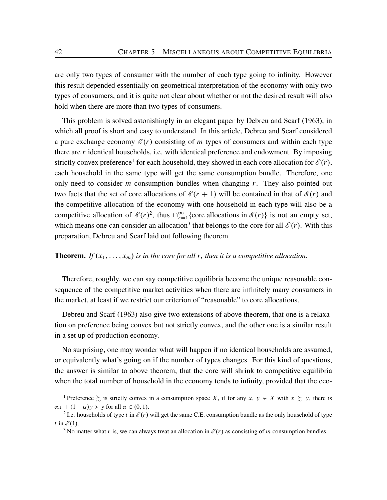<span id="page-45-3"></span>are only two types of consumer with the number of each type going to infinity. However this result depended essentially on geometrical interpretation of the economy with only two types of consumers, and it is quite not clear about whether or not the desired result will also hold when there are more than two types of consumers.

This problem is solved astonishingly in an elegant paper by [Debreu and Scarf](#page-64-5) ([1963\)](#page-64-5), in which all proof is short and easy to understand. In this article, Debreu and Scarf considered a pure exchange economy  $\mathcal{E}(r)$  consisting of m types of consumers and within each type there are  $r$  identical households, i.e. with identical preference and endowment. By imposing strictly convex preference<sup>[1](#page-45-0)</sup> for each household, they showed in each core allocation for  $\mathcal{E}(r)$ , each household in the same type will get the same consumption bundle. Therefore, one only need to consider  $m$  consumption bundles when changing  $r$ . They also pointed out two facts that the set of core allocations of  $\mathcal{E}(r + 1)$  will be contained in that of  $\mathcal{E}(r)$  and the competitive allocation of the economy with one household in each type will also be a competitive allocation of  $\mathcal{E}(r)^2$  $\mathcal{E}(r)^2$ , thus  $\bigcap_{r=1}^{\infty}$  (core allocations in  $\mathcal{E}(r)$ ) is not an empty set, which means one can consider an allocation<sup>[3](#page-45-2)</sup> that belongs to the core for all  $\mathcal{E}(r)$ . With this preparation, Debreu and Scarf laid out following theorem.

#### **Theorem.** *If*  $(x_1, \ldots, x_m)$  *is in the core for all r, then it is a competitive allocation.*

Therefore, roughly, we can say competitive equilibria become the unique reasonable consequence of the competitive market activities when there are infinitely many consumers in the market, at least if we restrict our criterion of "reasonable" to core allocations.

[Debreu and Scarf](#page-64-5) ([1963\)](#page-64-5) also give two extensions of above theorem, that one is a relaxation on preference being convex but not strictly convex, and the other one is a similar result in a set up of production economy.

No surprising, one may wonder what will happen if no identical households are assumed, or equivalently what's going on if the number of types changes. For this kind of questions, the answer is similar to above theorem, that the core will shrink to competitive equilibria when the total number of household in the economy tends to infinity, provided that the eco-

<span id="page-45-0"></span><sup>&</sup>lt;sup>1</sup> Preference  $\succsim$  is strictly convex in a consumption space X, if for any x,  $y \in X$  with  $x \succsim y$ , there is  $\alpha x + (1 - \alpha)y > y$  for all  $\alpha \in (0, 1)$ .

<span id="page-45-1"></span><sup>&</sup>lt;sup>2</sup> I.e. households of type t in  $\mathcal{E}(r)$  will get the same C.E. consumption bundle as the only household of type t in  $\mathcal{E}(1)$ .

<span id="page-45-2"></span><sup>&</sup>lt;sup>3</sup> No matter what r is, we can always treat an allocation in  $\mathcal{E}(r)$  as consisting of m consumption bundles.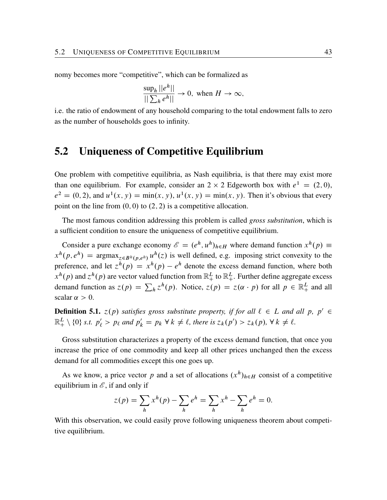nomy becomes more "competitive", which can be formalized as

$$
\frac{\sup_h ||e^h||}{||\sum_h e^h||} \to 0, \text{ when } H \to \infty,
$$

i.e. the ratio of endowment of any household comparing to the total endowment falls to zero as the number of households goes to infinity.

#### <span id="page-46-0"></span>5.2 Uniqueness of Competitive Equilibrium

One problem with competitive equilibria, as Nash equilibria, is that there may exist more than one equilibrium. For example, consider an  $2 \times 2$  Edgeworth box with  $e^1 = (2, 0)$ ,  $e^2 = (0, 2)$ , and  $u^1(x, y) = \min(x, y)$ ,  $u^1(x, y) = \min(x, y)$ . Then it's obvious that every point on the line from  $(0, 0)$  to  $(2, 2)$  is a competitive allocation.

The most famous condition addressing this problem is called *gross substitution*, which is a sufficient condition to ensure the uniqueness of competitive equilibrium.

Consider a pure exchange economy  $\mathscr{E} = (e^h, u^h)_{h \in H}$  where demand function  $x^h(p) \equiv$  $x^h(p, e^h)$  = argmax<sub> $z \in B^h(p, e^h)$ </sub>  $u^h(z)$  is well defined, e.g. imposing strict convexity to the preference, and let  $z^h(p) = x^h(p) - e^h$  denote the excess demand function, where both  $x^h(p)$  and  $z^h(p)$  are vector valued function from  $\mathbb{R}^L_+$  to  $\mathbb{R}^L_+$ . Further define aggregate excess demand function as  $z(p) = \sum_h z^h(p)$ . Notice,  $z(p) = z(\alpha \cdot p)$  for all  $p \in \mathbb{R}^L_+$  and all scalar  $\alpha > 0$ .

**Definition 5.1.**  $z(p)$  satisfies gross substitute property, if for all  $\ell \in L$  and all p,  $p' \in$  $\mathbb{R}^L_+ \setminus \{0\}$  *s.t.*  $p'_\ell > p_\ell$  and  $p'_k = p_k \forall k \neq \ell$ , there is  $z_k(p') > z_k(p)$ ,  $\forall k \neq \ell$ .

Gross substitution characterizes a property of the excess demand function, that once you increase the price of one commodity and keep all other prices unchanged then the excess demand for all commodities except this one goes up.

As we know, a price vector p and a set of allocations  $(x^h)_{h \in H}$  consist of a competitive equilibrium in  $\mathscr{E}$ , if and only if

$$
z(p) = \sum_{h} x^{h}(p) - \sum_{h} e^{h} = \sum_{h} x^{h} - \sum_{h} e^{h} = 0.
$$

With this observation, we could easily prove following uniqueness theorem about competitive equilibrium.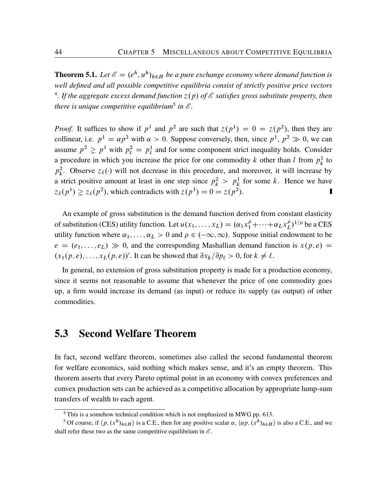**Theorem 5.1.** Let  $\mathscr{E} = (e^h, u^h)_{h \in H}$  be a pure exchange economy where demand function is *well defined and all possible competitive equilibria consist of strictly positive price vectors* <sup>[4](#page-47-1)</sup>. If the aggregate excess demand function  $z(p)$  of  $\mathscr E$  satisfies gross substitute property, then *there is unique competitive equilibrium*[5](#page-47-2) *in E .*

*Proof.* It suffices to show if  $p^1$  and  $p^2$  are such that  $z(p^1) = 0 = z(p^2)$ , then they are collinear, i.e.  $p^1 = \alpha p^2$  with  $\alpha > 0$ . Suppose conversely, then, since  $p^1$ ,  $p^2 \gg 0$ , we can assume  $p^2 \geq p^1$  with  $p^2_{\ell} = p^1_{\ell}$  $\ell$  and for some component strict inequality holds. Consider a procedure in which you increase the price for one commodity k other than l from  $p_k^1$  $\frac{1}{k}$  to  $p_k^2$ <sup>2</sup>. Observe  $z_{\ell}(\cdot)$  will not decrease in this procedure, and moreover, it will increase by a strict positive amount at least in one step since  $p_k^2 > p_k^1$  for some k. Hence we have  $z_{\ell}(p^1) \ge z_{\ell}(p^2)$ , which contradicts with  $z(p^1) = 0 = z(p^2)$ .

An example of gross substitution is the demand function derived from constant elasticity of substitution (CES) utility function. Let  $u(x_1, ..., x_L) = (\alpha_1 x_1^{\rho} + \cdots + \alpha_L x_L^{\rho})$  $\binom{\rho}{L}^{1/\rho}$  be a CES utility function where  $\alpha_1, \ldots, \alpha_L > 0$  and  $\rho \in (-\infty, \infty)$ . Suppose initial endowment to be  $e = (e_1, \ldots, e_L) \gg 0$ , and the corresponding Mashallian demand function is  $x(p, e)$  $(x_1(p, e), \ldots, x_L(p, e))'$ . It can be showed that  $\partial x_k / \partial p_\ell > 0$ , for  $k \neq \ell$ .

In general, no extension of gross substitution property is made for a production economy, since it seems not reasonable to assume that whenever the price of one commodity goes up, a firm would increase its demand (as input) or reduce its supply (as output) of other commodities.

#### <span id="page-47-0"></span>5.3 Second Welfare Theorem

In fact, second welfare theorem, sometimes also called the second fundamental theorem for welfare economics, said nothing which makes sense, and it's an empty theorem. This theorem asserts that every Pareto optimal point in an economy with convex preferences and convex production sets can be achieved as a competitive allocation by appropriate lump-sum transfers of wealth to each agent.

<span id="page-47-2"></span><span id="page-47-1"></span><sup>4</sup> This is a somehow technical condition which is not emphasized in MWG pp. 613.

<sup>&</sup>lt;sup>5</sup> Of course, if  $\langle p, (x^h)_{h \in H} \rangle$  is a C.E., then for any positive scalar  $\alpha$ ,  $\langle \alpha p, (x^h)_{h \in H} \rangle$  is also a C.E., and we shall refer these two as the same competitive equilibrium in  $\mathscr{E}$ .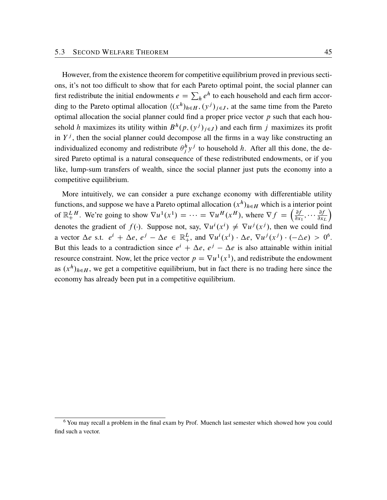However, from the existence theorem for competitive equilibrium proved in previous sections, it's not too difficult to show that for each Pareto optimal point, the social planner can first redistribute the initial endowments  $e = \sum_h e^h$  to each household and each firm according to the Pareto optimal allocation  $((x^h)_{h \in H}, (y^j)_{j \in J}$ , at the same time from the Pareto optimal allocation the social planner could find a proper price vector  $p$  such that each household h maximizes its utility within  $B^h(p,(y^j)_{j\in J})$  and each firm j maximizes its profit in  $Y<sup>j</sup>$ , then the social planner could decompose all the firms in a way like constructing an individualized economy and redistribute  $\theta_j^h y^j$  to household h. After all this done, the desired Pareto optimal is a natural consequence of these redistributed endowments, or if you like, lump-sum transfers of wealth, since the social planner just puts the economy into a competitive equilibrium.

More intuitively, we can consider a pure exchange economy with differentiable utility functions, and suppose we have a Pareto optimal allocation  $(x^h)_{h \in H}$  which is a interior point of  $\mathbb{R}^L_+$  $L^H$ . We're going to show  $\nabla u^1(x^1) = \cdots = \nabla u^H(x^H)$ , where  $\nabla f = \left(\frac{\partial f}{\partial x}\right)^1$  $\frac{\partial f}{\partial x_1}, \cdots \frac{\partial f}{\partial x_n}$  $\partial x_L$ Ï denotes the gradient of  $f(\cdot)$ . Suppose not, say,  $\nabla u^i(x^i) \neq \nabla u^j(x^j)$ , then we could find a vector  $\Delta e$  s.t.  $e^i + \Delta e$ ,  $e^j - \Delta e \in \mathbb{R}^L_+$ , and  $\nabla u^i(x^i) \cdot \Delta e$ ,  $\nabla u^j(x^j) \cdot (-\Delta e) > 0^6$  $\nabla u^j(x^j) \cdot (-\Delta e) > 0^6$ . But this leads to a contradiction since  $e^{i} + \Delta e$ ,  $e^{j} - \Delta e$  is also attainable within initial resource constraint. Now, let the price vector  $p = \nabla u^1(x^1)$ , and redistribute the endowment as  $(x^h)_{h \in H}$ , we get a competitive equilibrium, but in fact there is no trading here since the economy has already been put in a competitive equilibrium.

<span id="page-48-0"></span><sup>6</sup> You may recall a problem in the final exam by Prof. Muench last semester which showed how you could find such a vector.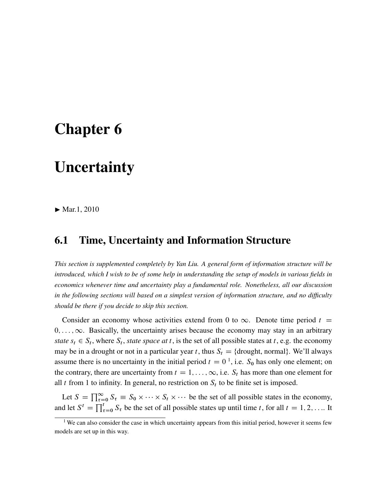## <span id="page-50-0"></span>Chapter 6

### **Uncertainty**

 $\blacktriangleright$  Mar.1, 2010

#### <span id="page-50-1"></span>6.1 Time, Uncertainty and Information Structure

*This section is supplemented completely by Yan Liu. A general form of information structure will be introduced, which I wish to be of some help in understanding the setup of models in various fields in economics whenever time and uncertainty play a fundamental role. Nonetheless, all our discussion in the following sections will based on a simplest version of information structure, and no difficulty should be there if you decide to skip this section.*

Consider an economy whose activities extend from 0 to  $\infty$ . Denote time period t =  $0, \ldots, \infty$ . Basically, the uncertainty arises because the economy may stay in an arbitrary *state*  $s_t \in S_t$ , where  $S_t$ , *state space at* t, is the set of all possible states at t, e.g. the economy may be in a drought or not in a particular year t, thus  $S_t = \{$ drought, normal $\}$ . We'll always assume there is no uncertainty in the initial period  $t = 0<sup>1</sup>$  $t = 0<sup>1</sup>$  $t = 0<sup>1</sup>$ , i.e.  $S_0$  has only one element; on the contrary, there are uncertainty from  $t = 1, \ldots, \infty$ , i.e.  $S_t$  has more than one element for all t from 1 to infinity. In general, no restriction on  $S_t$  to be finite set is imposed.

Let  $S = \prod_{\tau=0}^{\infty} S_{\tau} \equiv S_0 \times \cdots \times S_t \times \cdots$  be the set of all possible states in the economy, and let  $S^t = \prod_{\tau=0}^t S_\tau$  be the set of all possible states up until time t, for all  $t = 1, 2, ...$  It

<span id="page-50-2"></span><sup>&</sup>lt;sup>1</sup> We can also consider the case in which uncertainty appears from this initial period, however it seems few models are set up in this way.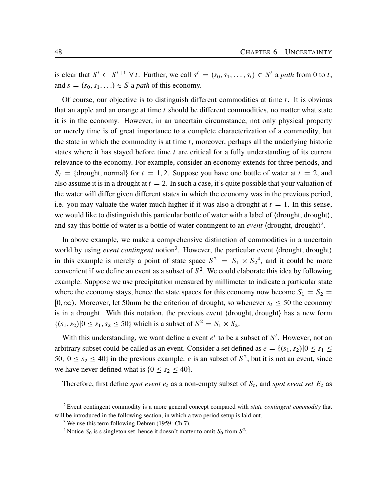<span id="page-51-3"></span>is clear that  $S^t \subset S^{t+1} \forall t$ . Further, we call  $s^t = (s_0, s_1, \dots, s_t) \in S^t$  a path from 0 to t, and  $s = (s_0, s_1, ...) \in S$  a *path* of this economy.

Of course, our objective is to distinguish different commodities at time  $t$ . It is obvious that an apple and an orange at time  $t$  should be different commodities, no matter what state it is in the economy. However, in an uncertain circumstance, not only physical property or merely time is of great importance to a complete characterization of a commodity, but the state in which the commodity is at time  $t$ , moreover, perhaps all the underlying historic states where it has stayed before time  $t$  are critical for a fully understanding of its current relevance to the economy. For example, consider an economy extends for three periods, and  $S_t$  = {drought, normal} for  $t = 1, 2$ . Suppose you have one bottle of water at  $t = 2$ , and also assume it is in a drought at  $t = 2$ . In such a case, it's quite possible that your valuation of the water will differ given different states in which the economy was in the previous period, i.e. you may valuate the water much higher if it was also a drought at  $t = 1$ . In this sense, we would like to distinguish this particular bottle of water with a label of  $\langle$  drought, drought $\rangle$ , and say this bottle of water is a bottle of water contingent to an *event*  $\langle$  drought, drought $\rangle$ <sup>[2](#page-51-0)</sup>.

In above example, we make a comprehensive distinction of commodities in a uncertain world by using *event contingent* notion<sup>[3](#page-51-1)</sup>. However, the particular event (drought, drought) in this example is merely a point of state space  $S^2 = S_1 \times S_2^4$  $S^2 = S_1 \times S_2^4$ , and it could be more convenient if we define an event as a subset of  $S^2$ . We could elaborate this idea by following example. Suppose we use precipitation measured by millimeter to indicate a particular state where the economy stays, hence the state spaces for this economy now become  $S_1 = S_2$  =  $[0, \infty)$ . Moreover, let 50mm be the criterion of drought, so whenever  $s_t \le 50$  the economy is in a drought. With this notation, the previous event (drought, drought) has a new form  $\{(s_1, s_2)|0 \le s_1, s_2 \le 50\}$  which is a subset of  $S^2 = S_1 \times S_2$ .

With this understanding, we want define a event  $e^t$  to be a subset of  $S^t$ . However, not an arbitrary subset could be called as an event. Consider a set defined as  $e = \{(s_1, s_2) | 0 \le s_1 \le$ 50,  $0 \le s_2 \le 40$ } in the previous example. *e* is an subset of  $S^2$ , but it is not an event, since we have never defined what is  ${0 \le s_2 \le 40}$ .

Therefore, first define *spot event*  $e_t$  as a non-empty subset of  $S_t$ , and *spot event set*  $E_t$  as

<span id="page-51-0"></span><sup>2</sup> Event contingent commodity is a more general concept compared with *state contingent commodity* that will be introduced in the following section, in which a two period setup is laid out.

<span id="page-51-1"></span><sup>3</sup> We use this term following [Debreu](#page-64-6) [\(1959:](#page-64-6) Ch.7).

<span id="page-51-2"></span><sup>&</sup>lt;sup>4</sup> Notice  $S_0$  is s singleton set, hence it doesn't matter to omit  $S_0$  from  $S^2$ .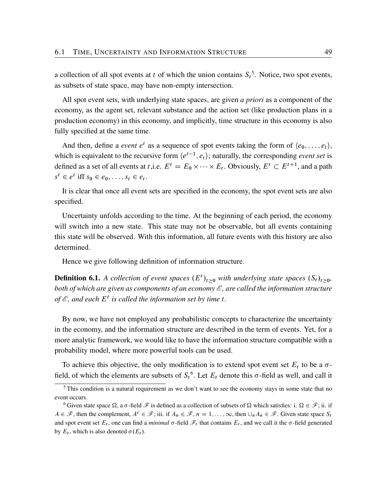a collection of all spot events at t of which the union contains  $S_t^5$  $S_t^5$ . Notice, two spot events, as subsets of state space, may have non-empty intersection.

All spot event sets, with underlying state spaces, are given *a priori* as a component of the economy, as the agent set, relevant substance and the action set (like production plans in a production economy) in this economy, and implicitly, time structure in this economy is also fully specified at the same time.

And then, define a *event*  $e^t$  as a sequence of spot events taking the form of  $\langle e_0, \ldots, e_t \rangle$ , which is equivalent to the recursive form  $\langle e^{t-1}, e_t \rangle$ ; naturally, the corresponding *event set* is defined as a set of all events at *t*,i.e.  $E^t = E_0 \times \cdots \times E_t$ . Obviously,  $E^t \subset E^{t+1}$ , and a path  $s^t \in e^t$  iff  $s_0 \in e_0, \ldots, s_t \in e_t$ .

It is clear that once all event sets are specified in the economy, the spot event sets are also specified.

Uncertainty unfolds according to the time. At the beginning of each period, the economy will switch into a new state. This state may not be observable, but all events containing this state will be observed. With this information, all future events with this history are also determined.

Hence we give following definition of information structure.

**Definition 6.1.** A collection of event spaces  $(E^t)_{t\geq 0}$  with underlying state spaces  $(S_t)_{t\geq 0}$ , *both of which are given as components of an economy E , are called the information structure of E , and each* E<sup>t</sup> *is called the information set by time* t*.*

By now, we have not employed any probabilistic concepts to characterize the uncertainty in the economy, and the information structure are described in the term of events. Yet, for a more analytic framework, we would like to have the information structure compatible with a probability model, where more powerful tools can be used.

To achieve this objective, the only modification is to extend spot event set  $E_t$  to be a  $\sigma$ field, of which the elements are subsets of  $S_t^6$  $S_t^6$ . Let  $E_t$  denote this  $\sigma$ -field as well, and call it

<span id="page-52-0"></span><sup>&</sup>lt;sup>5</sup> This condition is a natural requirement as we don't want to see the economy stays in some state that no event occurs.

<span id="page-52-1"></span><sup>&</sup>lt;sup>6</sup> Given state space  $\Omega$ , a  $\sigma$ -field  $\mathscr F$  is defined as a collection of subsets of  $\Omega$  which satisfies: i.  $\Omega \in \mathscr F$ ; ii. if  $A \in \mathcal{F}$ , then the complement,  $A^c \in \mathcal{F}$ ; iii. if  $A_n \in \mathcal{F}$ ,  $n = 1, ..., \infty$ , then  $\cup_n A_n \in \mathcal{F}$ . Given state space  $S_t$ and spot event set  $E_t$ , one can find a *minimal*  $\sigma$ -field  $\mathscr{F}_t$  that contains  $E_t$ , and we call it the  $\sigma$ -field generated by  $E_t$ , which is also denoted  $\sigma(E_t)$ .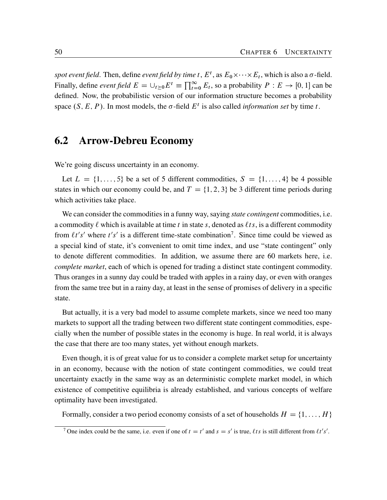spot event field. Then, define *event field by time*  $t$ ,  $E^t$ , as  $E_0 \times \cdots \times E_t$ , which is also a  $\sigma$ -field. Finally, define *event field*  $E = \bigcup_{t \geq 0} E^t \equiv \prod_{t=0}^{\infty} E_t$ , so a probability  $P : E \to [0, 1]$  can be defined. Now, the probabilistic version of our information structure becomes a probability space  $(S, E, P)$ . In most models, the  $\sigma$ -field  $E^t$  is also called *information set* by time t.

### <span id="page-53-0"></span>6.2 Arrow-Debreu Economy

We're going discuss uncertainty in an economy.

Let  $L = \{1, \ldots, 5\}$  be a set of 5 different commodities,  $S = \{1, \ldots, 4\}$  be 4 possible states in which our economy could be, and  $T = \{1, 2, 3\}$  be 3 different time periods during which activities take place.

We can consider the commodities in a funny way, saying *state contingent* commodities, i.e. a commodity  $\ell$  which is available at time t in state s, denoted as  $\ell ts$ , is a different commodity from  $\ell t's'$  where  $t's'$  is a different time-state combination<sup>[7](#page-53-1)</sup>. Since time could be viewed as a special kind of state, it's convenient to omit time index, and use "state contingent" only to denote different commodities. In addition, we assume there are 60 markets here, i.e. *complete market*, each of which is opened for trading a distinct state contingent commodity. Thus oranges in a sunny day could be traded with apples in a rainy day, or even with oranges from the same tree but in a rainy day, at least in the sense of promises of delivery in a specific state.

But actually, it is a very bad model to assume complete markets, since we need too many markets to support all the trading between two different state contingent commodities, especially when the number of possible states in the economy is huge. In real world, it is always the case that there are too many states, yet without enough markets.

Even though, it is of great value for us to consider a complete market setup for uncertainty in an economy, because with the notion of state contingent commodities, we could treat uncertainty exactly in the same way as an deterministic complete market model, in which existence of competitive equilibria is already established, and various concepts of welfare optimality have been investigated.

Formally, consider a two period economy consists of a set of households  $H = \{1, \ldots, H\}$ 

<span id="page-53-1"></span><sup>&</sup>lt;sup>7</sup> One index could be the same, i.e. even if one of  $t = t'$  and  $s = s'$  is true,  $\ell ts$  is still different from  $\ell t's'.$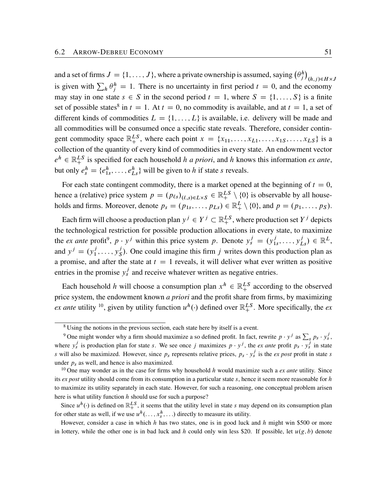and a set of firms  $J = \{1, \ldots, J\}$ , where a private ownership is assumed, saying  $(\theta_j^h)$  $(h,j) \in H \times J$ is given with  $\sum_h \theta_j^h = 1$ . There is no uncertainty in first period  $t = 0$ , and the economy may stay in one state  $s \in S$  in the second period  $t = 1$ , where  $S = \{1, \ldots, S\}$  is a finite set of possible states<sup>[8](#page-54-0)</sup> in  $t = 1$ . At  $t = 0$ , no commodity is available, and at  $t = 1$ , a set of different kinds of commodities  $L = \{1, \ldots, L\}$  is available, i.e. delivery will be made and all commodities will be consumed once a specific state reveals. Therefore, consider contingent commodity space  $\mathbb{R}^{LS}_+$ , where each point  $x = \{x_{11}, \ldots, x_{L1}, \ldots, x_{1S}, \ldots, x_{LS}\}\$  is a collection of the quantity of every kind of commodities in every state. An endowment vector  $e^h \in \mathbb{R}_+^{LS}$  is specified for each household *h a priori*, and *h* knows this information *ex ante*, but only  $e_s^h = \{e_{1s}^h, \dots, e_{Ls}^h\}$  will be given to h if state s reveals.

For each state contingent commodity, there is a market opened at the beginning of  $t = 0$ , hence a (relative) price system  $p = (p_{\ell s})_{(\ell, s) \in L \times S} \in \mathbb{R}^{LS}_+ \setminus \{0\}$  is observable by all households and firms. Moreover, denote  $p_s = (p_{1s}, \ldots, p_{Ls}) \in \mathbb{R}^L_+ \setminus \{0\}$ , and  $p = (p_1, \ldots, p_S)$ .

Each firm will choose a production plan  $y^j \in Y^j \subset \mathbb{R}^{LS}_+$ , where production set  $Y^j$  depicts the technological restriction for possible production allocations in every state, to maximize the *ex ante* profit<sup>[9](#page-54-1)</sup>,  $p \cdot y^j$  within this price system p. Denote  $y_s^j = (y_{1s}^j, \dots, y_{Ls}^j) \in \mathbb{R}^L$ , and  $y^j = (y_1^j, ..., y_{S}^j)$  $S<sub>S</sub>$ ). One could imagine this firm j writes down this production plan as a promise, and after the state at  $t = 1$  reveals, it will deliver what ever written as positive entries in the promise  $y_s^j$  and receive whatever written as negative entries.

Each household h will choose a consumption plan  $x^h \in \mathbb{R}^{LS}_+$  according to the observed price system, the endowment known *a priori* and the profit share from firms, by maximizing *ex ante* utility <sup>[10](#page-54-2)</sup>, given by utility function  $u^h(\cdot)$  defined over  $\mathbb{R}^{LS}_{+}$ . More specifically, the *ex* 

<span id="page-54-1"></span><span id="page-54-0"></span><sup>&</sup>lt;sup>8</sup> Using the notions in the previous section, each state here by itself is a event.

<sup>&</sup>lt;sup>9</sup> One might wonder why a firm should maximize a so defined profit. In fact, rewrite  $p \cdot y^j$  as  $\sum_s p_s \cdot y_s^j$ , where  $y_s^j$  is production plan for state s. We see once j maximizes  $p \cdot y^j$ , the *ex ante* profit  $p_s \cdot y_s^j$  in state s will also be maximized. However, since  $p_s$  represents relative prices,  $p_s \cdot y_s^j$  is the *ex post* profit in state s under  $p_s$  as well, and hence is also maximized.

<span id="page-54-2"></span><sup>&</sup>lt;sup>10</sup> One may wonder as in the case for firms why household h would maximize such a *ex ante* utility. Since its *ex post* utility should come from its consumption in a particular state s, hence it seem more reasonable for h to maximize its utility separately in each state. However, for such a reasoning, one conceptual problem arisen here is what utility function  $h$  should use for such a purpose?

Since  $u^h(\cdot)$  is defined on  $\mathbb{R}^{LS}_+$ , it seems that the utility level in state s may depend on its consumption plan for other state as well, if we use  $u^h(\ldots, x_s^h, \ldots)$  directly to measure its utility.

However, consider a case in which  $h$  has two states, one is in good luck and  $h$  might win \$500 or more in lottery, while the other one is in bad luck and h could only win less \$20. If possible, let  $u(g, b)$  denote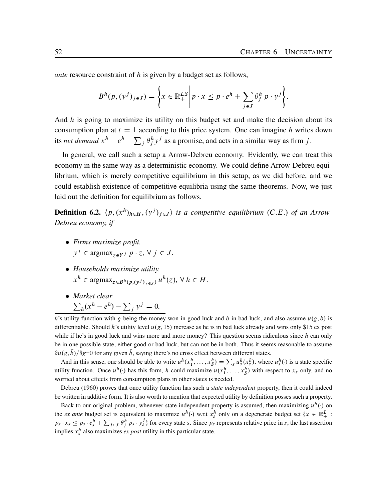<span id="page-55-0"></span>*ante* resource constraint of h is given by a budget set as follows,

$$
B^{h}(p,(y^{j})_{j\in J})=\left\{x\in\mathbb{R}_{+}^{LS}\bigg|p\cdot x\leq p\cdot e^{h}+\sum_{j\in J}\theta_{j}^{h}p\cdot y^{j}\right\}.
$$

And  $h$  is going to maximize its utility on this budget set and make the decision about its consumption plan at  $t = 1$  according to this price system. One can imagine h writes down its *net demand*  $x^h - e^h - \sum_j \theta_j^h y^j$  as a promise, and acts in a similar way as firm j.

In general, we call such a setup a Arrow-Debreu economy. Evidently, we can treat this economy in the same way as a deterministic economy. We could define Arrow-Debreu equilibrium, which is merely competitive equilibrium in this setup, as we did before, and we could establish existence of competitive equilibria using the same theorems. Now, we just laid out the definition for equilibrium as follows.

**Definition 6.2.**  $\langle p, (x^h)_{h \in H}, (y^j)_{j \in J} \rangle$  is a competitive equilibrium (C.E.) of an Arrow-*Debreu economy, if*

- *Firms maximize profit.*  $y^j \in \text{argmax}_{z \in Y^j} p \cdot z, \forall j \in J.$
- *Households maximize utility.*  $x^h \in \text{argmax}_{z \in B^h(p,(y^j)_{j \in J})} u^h(z), \forall h \in H.$
- *Market clear.*  $\sum_h (x^h - e^h) - \sum_j y^j = 0.$

h's utility function with g being the money won in good luck and b in bad luck, and also assume  $u(g, b)$  is differentiable. Should h's utility level  $u(g, 15)$  increase as he is in bad luck already and wins only \$15 ex post while if he's in good luck and wins more and more money? This question seems ridiculous since  $h$  can only be in one possible state, either good or bad luck, but can not be in both. Thus it seems reasonable to assume  $\partial u(g, b)/\partial g=0$  for any given b, saying there's no cross effect between different states.

And in this sense, one should be able to write  $u^h(x_1^h, \ldots, x_S^h) = \sum_s u_s^h(x_s^h)$ , where  $u_s^h(\cdot)$  is a state specific utility function. Once  $u^h(\cdot)$  has this form, h could maximize  $u(x_1^h, \ldots, x_S^h)$  with respect to  $x_s$  only, and no worried about effects from consumption plans in other states is needed.

[Debreu](#page-64-7) ([1960\)](#page-64-7) proves that once utility function has such a *state independent* property, then it could indeed be written in additive form. It is also worth to mention that expected utility by definition posses such a property.

Back to our original problem, whenever state independent property is assumed, then maximizing  $u^h(\cdot)$  on the *ex ante* budget set is equivalent to maximize  $u^h(\cdot)$  w.r.t  $x_s^h$  only on a degenerate budget set  $\{x \in \mathbb{R}_+^L :$  $p_s \cdot x_s \leq p_s \cdot e_s^h + \sum$  $j \in J$   $\theta_j^h$   $p_s \cdot y_s^j$  for every state s. Since  $p_s$  represents relative price in s, the last assertion implies  $x_s^h$  also maximizes *ex post* utility in this particular state.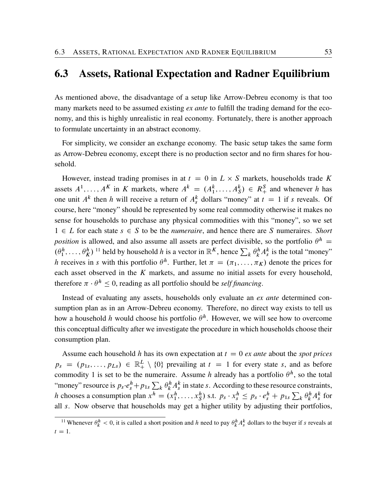#### <span id="page-56-0"></span>6.3 Assets, Rational Expectation and Radner Equilibrium

As mentioned above, the disadvantage of a setup like Arrow-Debreu economy is that too many markets need to be assumed existing *ex ante* to fulfill the trading demand for the economy, and this is highly unrealistic in real economy. Fortunately, there is another approach to formulate uncertainty in an abstract economy.

For simplicity, we consider an exchange economy. The basic setup takes the same form as Arrow-Debreu economy, except there is no production sector and no firm shares for household.

However, instead trading promises in at  $t = 0$  in  $L \times S$  markets, households trade K assets  $A^1, \ldots, A^K$  in K markets, where  $A^k = (A_1^k, \ldots, A_S^k) \in R_+^S$  and whenever h has one unit  $A^k$  then h will receive a return of  $A_s^k$  dollars "money" at  $t = 1$  if s reveals. Of course, here "money" should be represented by some real commodity otherwise it makes no sense for households to purchase any physical commodities with this "money", so we set  $1 \in L$  for each state  $s \in S$  to be the *numeraire*, and hence there are S numeraires. *Short position* is allowed, and also assume all assets are perfect divisible, so the portfolio  $\theta^h$  =  $(\theta_1^h, \ldots, \theta_K^h)$ <sup>[11](#page-56-1)</sup> held by household h is a vector in  $\mathbb{R}^K$ , hence  $\sum_k \theta_k^h A_s^k$  is the total "money" h receives in s with this portfolio  $\theta^h$ . Further, let  $\pi = (\pi_1, \dots, \pi_K)$  denote the prices for each asset observed in the  $K$  markets, and assume no initial assets for every household, therefore  $\pi \cdot \theta^h \leq 0$ , reading as all portfolio should be *self financing*.

Instead of evaluating any assets, households only evaluate an *ex ante* determined consumption plan as in an Arrow-Debreu economy. Therefore, no direct way exists to tell us how a household h would choose his portfolio  $\theta^h$ . However, we will see how to overcome this conceptual difficulty after we investigate the procedure in which households choose their consumption plan.

Assume each household h has its own expectation at  $t = 0$  *ex ante* about the *spot prices*  $p_s = (p_{1s}, \ldots, p_{Ls}) \in \mathbb{R}^L_+ \setminus \{0\}$  prevailing at  $t = 1$  for every state s, and as before commodity 1 is set to be the numeraire. Assume h already has a portfolio  $\theta^h$ , so the total "money" resource is  $p_s \cdot e_s^h + p_{1s} \sum_k \theta_k^h A_s^k$  in state s. According to these resource constraints, h chooses a consumption plan  $x^h = (x_1^h, \ldots, x_S^h)$  s.t.  $p_s \cdot x_s^h \le p_s \cdot e_s^h + p_{1s} \sum_k \theta_k^h A_s^k$  for all s. Now observe that households may get a higher utility by adjusting their portfolios,

<span id="page-56-1"></span><sup>&</sup>lt;sup>11</sup> Whenever  $\theta_k^h < 0$ , it is called a short position and h need to pay  $\theta_k^h A_s^k$  dollars to the buyer if s reveals at  $t = 1$ .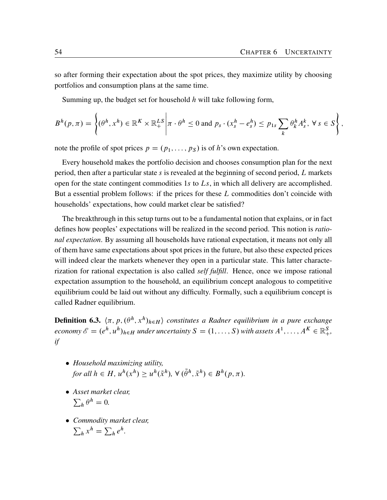so after forming their expectation about the spot prices, they maximize utility by choosing portfolios and consumption plans at the same time.

Summing up, the budget set for household  $h$  will take following form,

$$
B^h(p,\pi)=\left\{(\theta^h,x^h)\in\mathbb{R}^K\times\mathbb{R}^{LS}_+\bigg|\pi\cdot\theta^h\leq 0\text{ and }p_s\cdot(x_s^h-e_s^h)\leq p_{1s}\sum_k\theta_k^hA_s^k,\ \forall\ s\in S\right\},
$$

note the profile of spot prices  $p = (p_1, \ldots, p_S)$  is of h's own expectation.

Every household makes the portfolio decision and chooses consumption plan for the next period, then after a particular state s is revealed at the beginning of second period,  $L$  markets open for the state contingent commodities 1s to  $L_s$ , in which all delivery are accomplished. But a essential problem follows: if the prices for these L commodities don't coincide with households' expectations, how could market clear be satisfied?

The breakthrough in this setup turns out to be a fundamental notion that explains, or in fact defines how peoples' expectations will be realized in the second period. This notion is *rational expectation*. By assuming all households have rational expectation, it means not only all of them have same expectations about spot prices in the future, but also these expected prices will indeed clear the markets whenever they open in a particular state. This latter characterization for rational expectation is also called *self fulfill*. Hence, once we impose rational expectation assumption to the household, an equilibrium concept analogous to competitive equilibrium could be laid out without any difficulty. Formally, such a equilibrium concept is called Radner equilibrium.

**Definition 6.3.**  $\langle \pi, p, (\theta^h, x^h)_{h \in H} \rangle$  constitutes a Radner equilibrium in a pure exchange  $e\text{conomy }\mathscr{E} = (e^h, u^h)_{h \in H}$  *under uncertainty*  $S = (1, \ldots, S)$  *with assets*  $A^1, \ldots, A^K \in \mathbb{R}^S_+$ , *if*

- *Household maximizing utility,* for all  $h \in H$ ,  $u^h(x^h) \geq u^h(\tilde{x}^h)$ ,  $\forall (\tilde{\theta}^h, \tilde{x}^h) \in B^h(p, \pi)$ .
- *Asset market clear,*  $\sum_h \theta^h = 0.$
- *Commodity market clear,*  $\sum_h x^h = \sum_h e^h.$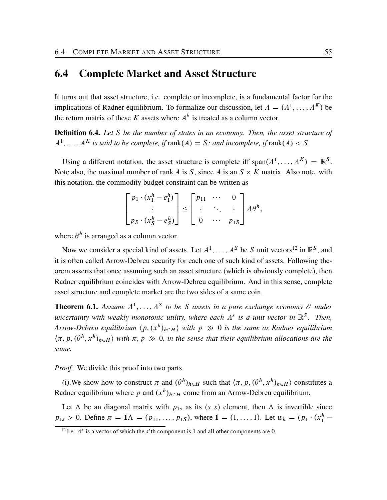#### <span id="page-58-0"></span>6.4 Complete Market and Asset Structure

It turns out that asset structure, i.e. complete or incomplete, is a fundamental factor for the implications of Radner equilibrium. To formalize our discussion, let  $A = (A^1, \dots, A^K)$  be the return matrix of these K assets where  $A^k$  is treated as a column vector.

Definition 6.4. *Let* S *be the number of states in an economy. Then, the asset structure of*  $A^1, \ldots, A^K$  is said to be complete, if  $\text{rank}(A) = S$ ; and incomplete, if  $\text{rank}(A) < S$ .

Using a different notation, the asset structure is complete iff  $\text{span}(A^1, \dots, A^K) = \mathbb{R}^S$ . Note also, the maximal number of rank A is S, since A is an  $S \times K$  matrix. Also note, with this notation, the commodity budget constraint can be written as

$$
\begin{bmatrix} p_1 \cdot (x_1^h - e_1^h) \\ \vdots \\ p_S \cdot (x_S^h - e_S^h) \end{bmatrix} \leq \begin{bmatrix} p_{11} & \cdots & 0 \\ \vdots & \ddots & \vdots \\ 0 & \cdots & p_{1S} \end{bmatrix} A \theta^h,
$$

where  $\theta^h$  is arranged as a column vector.

Now we consider a special kind of assets. Let  $A^1, \ldots, A^S$  be S unit vectors<sup>[12](#page-58-1)</sup> in  $\mathbb{R}^S$ , and it is often called Arrow-Debreu security for each one of such kind of assets. Following theorem asserts that once assuming such an asset structure (which is obviously complete), then Radner equilibrium coincides with Arrow-Debreu equilibrium. And in this sense, complete asset structure and complete market are the two sides of a same coin.

**Theorem 6.1.** Assume  $A^1, \ldots, A^S$  to be S assets in a pure exchange economy  $\mathscr E$  under *uncertainty with weakly monotonic utility, where each* A s *is a unit vector in* R S *. Then,* Arrow-Debreu equilibrium  $\langle p, (x^h)_{h \in H} \rangle$  with  $p \gg 0$  is the same as Radner equilibrium  $\langle \pi, p, (\theta^h, x^h)_{h \in H} \rangle$  with  $\pi, p \gg 0$ , in the sense that their equilibrium allocations are the *same.*

*Proof.* We divide this proof into two parts.

(i). We show how to construct  $\pi$  and  $(\theta^h)_{h \in H}$  such that  $\langle \pi, p, (\theta^h, x^h)_{h \in H} \rangle$  constitutes a Radner equilibrium where p and  $(x^h)_{h \in H}$  come from an Arrow-Debreu equilibrium.

Let  $\Lambda$  be an diagonal matrix with  $p_{1s}$  as its  $(s, s)$  element, then  $\Lambda$  is invertible since  $p_{1s} > 0$ . Define  $\pi = 1 \Lambda = (p_{11}, \ldots, p_{1S})$ , where  $1 = (1, \ldots, 1)$ . Let  $w_h = (p_1 \cdot (x_1^h -$ 

<span id="page-58-1"></span><sup>&</sup>lt;sup>12</sup> I.e.  $A^s$  is a vector of which the s'th component is 1 and all other components are 0.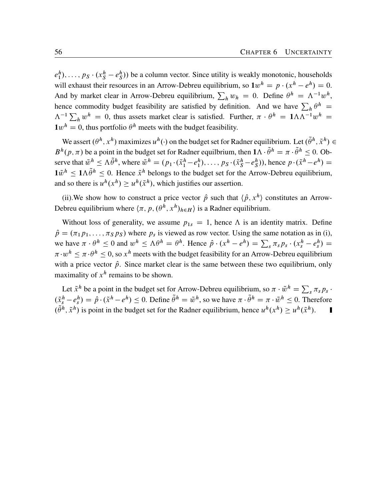$e_1^h$ ,...,  $p_S \cdot (x_S^h - e_S^h)$  be a column vector. Since utility is weakly monotonic, households will exhaust their resources in an Arrow-Debreu equilibrium, so  $1w^h = p \cdot (x^h - e^h) = 0$ . And by market clear in Arrow-Debreu equilibrium,  $\sum_h w_h = 0$ . Define  $\theta^h = \Lambda^{-1} w^h$ , hence commodity budget feasibility are satisfied by definition. And we have  $\sum_h \theta^h$  =  $\Lambda^{-1} \sum_h w^h = 0$ , thus assets market clear is satisfied. Further,  $\pi \cdot \theta^h = 1 \Lambda \Lambda^{-1} w^h =$  $1w^h = 0$ , thus portfolio  $\theta^h$  meets with the budget feasibility.

We assert  $(\theta^h, x^h)$  maximizes  $u^h(\cdot)$  on the budget set for Radner equilibrium. Let  $(\tilde{\theta}^h, \tilde{x}^h) \in$  $B^h(p, \pi)$  be a point in the budget set for Radner equilibrium, then  $1\Lambda \cdot \tilde{\theta}^h = \pi \cdot \tilde{\theta}^h \leq 0$ . Observe that  $\tilde{w}^h \leq \Lambda \tilde{\theta}^h$ , where  $\tilde{w}^h = (p_1 \cdot (\tilde{x}_1^h - e_1^h), \dots, p_S \cdot (\tilde{x}_S^h - e_S^h))$ , hence  $p \cdot (\tilde{x}^h - e^h) =$  $1\tilde{w}^h \le 1 \Lambda \tilde{\theta}^h \le 0$ . Hence  $\tilde{x}^h$  belongs to the budget set for the Arrow-Debreu equilibrium, and so there is  $u^h(x^h) \ge u^h(\tilde{x}^h)$ , which justifies our assertion.

(ii). We show how to construct a price vector  $\hat{p}$  such that  $\langle \hat{p}, x^h \rangle$  constitutes an Arrow-Debreu equilibrium where  $\langle \pi, p, (\theta^h, x^h)_{h \in H} \rangle$  is a Radner equilibrium.

Without loss of generality, we assume  $p_{1s} = 1$ , hence  $\Lambda$  is an identity matrix. Define  $\hat{p} = (\pi_1 p_1, \dots, \pi_S p_S)$  where  $p_s$  is viewed as row vector. Using the same notation as in (i), we have  $\pi \cdot \theta^h \le 0$  and  $w^h \le \Lambda \theta^h = \theta^h$ . Hence  $\hat{p} \cdot (x^h - e^h) = \sum_s \pi_s p_s \cdot (x_s^h - e_s^h) =$  $\pi \cdot w^h \le \pi \cdot \theta^h \le 0$ , so  $x^h$  meets with the budget feasibility for an Arrow-Debreu equilibrium with a price vector  $\hat{p}$ . Since market clear is the same between these two equilibrium, only maximality of  $x^h$  remains to be shown.

Let  $\tilde{x}^h$  be a point in the budget set for Arrow-Debreu equilibrium, so  $\pi \cdot \tilde{w}^h = \sum_s \pi_s p_s$ .  $(\tilde{x}_{s}^{h} - e_{s}^{h}) = \hat{p} \cdot (\tilde{x}^{h} - e^{h}) \le 0$ . Define  $\tilde{\theta}^{h} = \tilde{w}^{h}$ , so we have  $\pi \cdot \tilde{\theta}^{h} = \pi \cdot \tilde{w}^{h} \le 0$ . Therefore  $(\tilde{\theta}^h, \tilde{x}^h)$  is point in the budget set for the Radner equilibrium, hence  $u^h(x^h) \geq u^h(\tilde{x}^h)$ .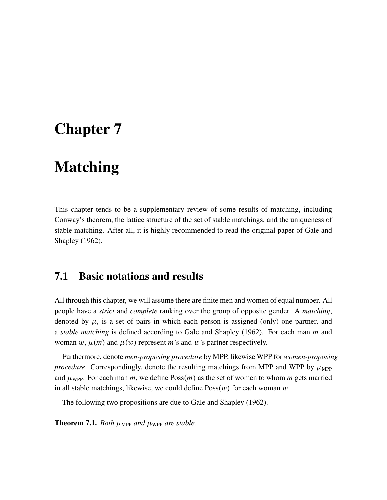## <span id="page-60-2"></span><span id="page-60-0"></span>Chapter 7

### Matching

This chapter tends to be a supplementary review of some results of matching, including Conway's theorem, the lattice structure of the set of stable matchings, and the uniqueness of stable matching. After all, it is highly recommended to read the original paper of [Gale and](#page-64-8) [Shapley](#page-64-8) ([1962\)](#page-64-8).

### <span id="page-60-1"></span>7.1 Basic notations and results

All through this chapter, we will assume there are finite men and women of equal number. All people have a *strict* and *complete* ranking over the group of opposite gender. A *matching*, denoted by  $\mu$ , is a set of pairs in which each person is assigned (only) one partner, and a *stable matching* is defined according to [Gale and Shapley](#page-64-8) [\(1962](#page-64-8)). For each man m and woman w,  $\mu(m)$  and  $\mu(w)$  represent m's and w's partner respectively.

Furthermore, denote *men-proposing procedure* by MPP, likewise WPP for *women-proposing procedure*. Correspondingly, denote the resulting matchings from MPP and WPP by  $\mu_{\text{MPP}}$ and  $\mu_{\text{WPP}}$ . For each man m, we define Poss $(m)$  as the set of women to whom m gets married in all stable matchings, likewise, we could define  $Poss(w)$  for each woman w.

The following two propositions are due to [Gale and Shapley](#page-64-8) [\(1962](#page-64-8)).

**Theorem 7.1.** *Both*  $\mu_{\text{MPP}}$  *and*  $\mu_{\text{WPP}}$  *are stable.*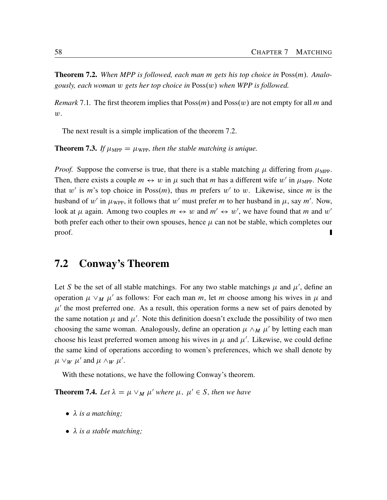<span id="page-61-1"></span>**Theorem 7.2.** When MPP is followed, each man m gets his top choice in Poss(m). Analo*gously, each woman w gets her top choice in*  $Poss(w)$  *when WPP is followed.* 

*Remark* 7.1. The first theorem implies that  $Poss(m)$  and  $Poss(w)$  are not empty for all m and  $w$ .

The next result is a simple implication of the theorem [7.2](#page-61-1).

<span id="page-61-2"></span>**Theorem 7.3.** If  $\mu_{\text{MPP}} = \mu_{\text{WPP}}$ , then the stable matching is unique.

*Proof.* Suppose the converse is true, that there is a stable matching  $\mu$  differing from  $\mu_{\text{MPP}}$ . Then, there exists a couple  $m \leftrightarrow w$  in  $\mu$  such that m has a different wife w' in  $\mu_{\text{MPP}}$ . Note that w' is m's top choice in  $Poss(m)$ , thus m prefers w' to w. Likewise, since m is the husband of  $w'$  in  $\mu_{\text{WPP}}$ , it follows that  $w'$  must prefer m to her husband in  $\mu$ , say m'. Now, look at  $\mu$  again. Among two couples  $m \leftrightarrow w$  and  $m' \leftrightarrow w'$ , we have found that m and w' both prefer each other to their own spouses, hence  $\mu$  can not be stable, which completes our proof. П

#### <span id="page-61-0"></span>7.2 Conway's Theorem

Let S be the set of all stable matchings. For any two stable matchings  $\mu$  and  $\mu'$ , define an operation  $\mu \vee_M \mu'$  as follows: For each man m, let m choose among his wives in  $\mu$  and  $\mu'$  the most preferred one. As a result, this operation forms a new set of pairs denoted by the same notation  $\mu$  and  $\mu'$ . Note this definition doesn't exclude the possibility of two men choosing the same woman. Analogously, define an operation  $\mu \wedge_M \mu'$  by letting each man choose his least preferred women among his wives in  $\mu$  and  $\mu'$ . Likewise, we could define the same kind of operations according to women's preferences, which we shall denote by  $\mu \vee_W \mu'$  and  $\mu \wedge_W \mu'$ .

With these notations, we have the following Conway's theorem.

**Theorem 7.4.** Let  $\lambda = \mu \vee_M \mu'$  where  $\mu, \mu' \in S$ , then we have

- *is a matching;*
- *is a stable matching;*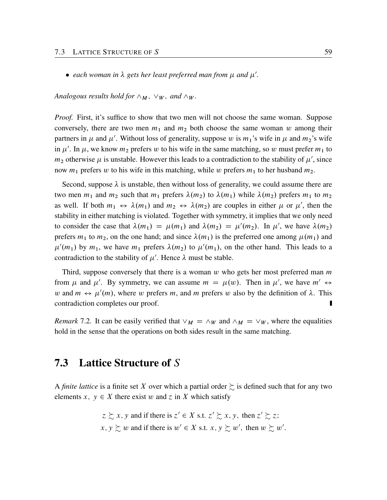• each woman in  $\lambda$  gets her least preferred man from  $\mu$  and  $\mu'$ .

*Analogous results hold for*  $\wedge_M$ ,  $\vee_W$ *, and*  $\wedge_W$ *.* 

*Proof.* First, it's suffice to show that two men will not choose the same woman. Suppose conversely, there are two men  $m_1$  and  $m_2$  both choose the same woman w among their partners in  $\mu$  and  $\mu'$ . Without loss of generality, suppose w is  $m_1$ 's wife in  $\mu$  and  $m_2$ 's wife in  $\mu'$ . In  $\mu$ , we know  $m_2$  prefers w to his wife in the same matching, so w must prefer  $m_1$  to  $m_2$  otherwise  $\mu$  is unstable. However this leads to a contradiction to the stability of  $\mu'$ , since now  $m_1$  prefers w to his wife in this matching, while w prefers  $m_1$  to her husband  $m_2$ .

Second, suppose  $\lambda$  is unstable, then without loss of generality, we could assume there are two men  $m_1$  and  $m_2$  such that  $m_1$  prefers  $\lambda(m_2)$  to  $\lambda(m_1)$  while  $\lambda(m_2)$  prefers  $m_1$  to  $m_2$ as well. If both  $m_1 \leftrightarrow \lambda(m_1)$  and  $m_2 \leftrightarrow \lambda(m_2)$  are couples in either  $\mu$  or  $\mu'$ , then the stability in either matching is violated. Together with symmetry, it implies that we only need to consider the case that  $\lambda(m_1) = \mu(m_1)$  and  $\lambda(m_2) = \mu'(m_2)$ . In  $\mu'$ , we have  $\lambda(m_2)$ prefers  $m_1$  to  $m_2$ , on the one hand; and since  $\lambda(m_1)$  is the preferred one among  $\mu(m_1)$  and  $\mu'(m_1)$  by  $m_1$ , we have  $m_1$  prefers  $\lambda(m_2)$  to  $\mu'(m_1)$ , on the other hand. This leads to a contradiction to the stability of  $\mu'$ . Hence  $\lambda$  must be stable.

Third, suppose conversely that there is a woman  $w$  who gets her most preferred man  $m$ from  $\mu$  and  $\mu'$ . By symmetry, we can assume  $m = \mu(w)$ . Then in  $\mu'$ , we have  $m' \leftrightarrow$ w and  $m \leftrightarrow \mu'(m)$ , where w prefers m, and m prefers w also by the definition of  $\lambda$ . This contradiction completes our proof.

*Remark* 7.2. It can be easily verified that  $\vee_M = \wedge_W$  and  $\wedge_M = \vee_W$ , where the equalities hold in the sense that the operations on both sides result in the same matching.

#### <span id="page-62-0"></span>7.3 Lattice Structure of S

A *finite lattice* is a finite set X over which a partial order  $\succsim$  is defined such that for any two elements  $x, y \in X$  there exist w and z in X which satisfy

$$
z \succsim x
$$
, y and if there is  $z' \in X$  s.t.  $z' \succsim x$ , y, then  $z' \succsim z$ ;  
  $x, y \succsim w$  and if there is  $w' \in X$  s.t.  $x, y \succsim w'$ , then  $w \succsim w'$ .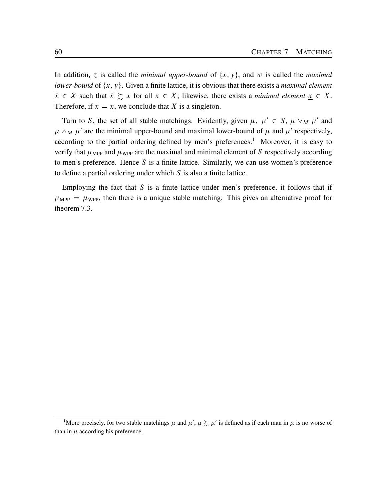In addition, z is called the *minimal upper-bound* of  $\{x, y\}$ , and w is called the *maximal lower-bound* of  $\{x, y\}$ . Given a finite lattice, it is obvious that there exists a *maximal element*  $\bar{x} \in X$  such that  $\bar{x} \succsim x$  for all  $x \in X$ ; likewise, there exists a *minimal element*  $\underline{x} \in X$ . Therefore, if  $\bar{x} = \underline{x}$ , we conclude that X is a singleton.

Turn to S, the set of all stable matchings. Evidently, given  $\mu$ ,  $\mu' \in S$ ,  $\mu \vee_M \mu'$  and  $\mu \wedge_M \mu'$  are the minimal upper-bound and maximal lower-bound of  $\mu$  and  $\mu'$  respectively, according to the partial ordering defined by men's preferences.<sup>[1](#page-63-0)</sup> Moreover, it is easy to verify that  $\mu_{\text{MPP}}$  and  $\mu_{\text{WPP}}$  are the maximal and minimal element of S respectively according to men's preference. Hence  $S$  is a finite lattice. Similarly, we can use women's preference to define a partial ordering under which  $S$  is also a finite lattice.

Employing the fact that  $S$  is a finite lattice under men's preference, it follows that if  $\mu_{\text{MPP}} = \mu_{\text{WPP}}$ , then there is a unique stable matching. This gives an alternative proof for theorem [7.3.](#page-61-2)

<span id="page-63-0"></span><sup>&</sup>lt;sup>1</sup>More precisely, for two stable matchings  $\mu$  and  $\mu'$ ,  $\mu \succsim \mu'$  is defined as if each man in  $\mu$  is no worse of than in  $\mu$  according his preference.